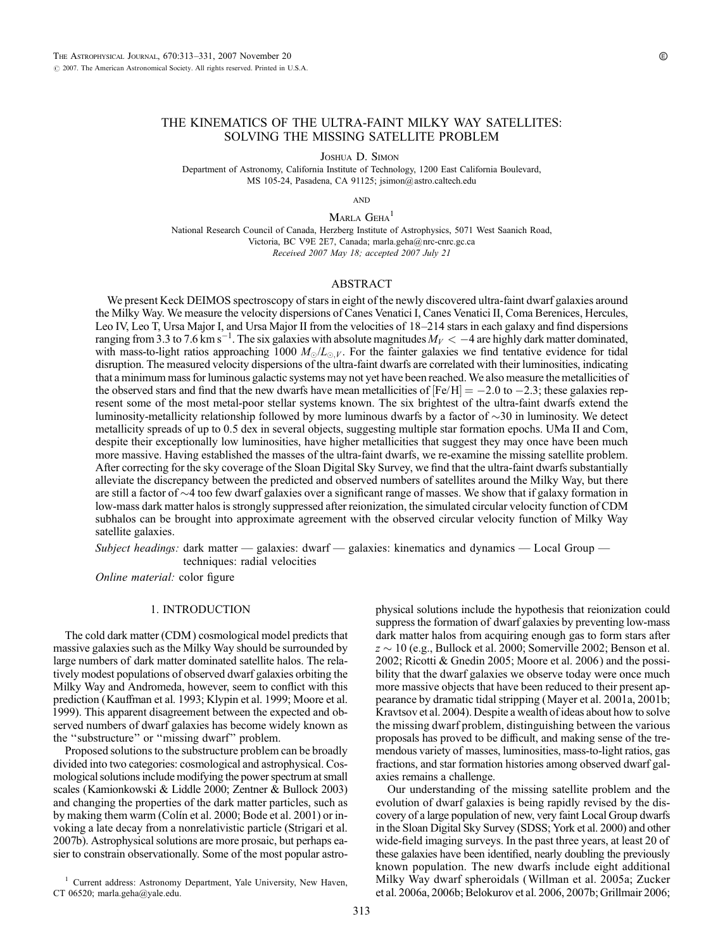# THE KINEMATICS OF THE ULTRA-FAINT MILKY WAY SATELLITES: SOLVING THE MISSING SATELLITE PROBLEM

Joshua D. Simon

Department of Astronomy, California Institute of Technology, 1200 East California Boulevard, MS 105-24, Pasadena, CA 91125; jsimon@astro.caltech.edu

**AND** 

MARLA GEHA<sup>1</sup> National Research Council of Canada, Herzberg Institute of Astrophysics, 5071 West Saanich Road,

Victoria, BC V9E 2E7, Canada; marla.geha@nrc-cnrc.gc.ca

Received 2007 May 18; accepted 2007 July 21

## ABSTRACT

We present Keck DEIMOS spectroscopy of stars in eight of the newly discovered ultra-faint dwarf galaxies around the Milky Way. We measure the velocity dispersions of Canes Venatici I, Canes Venatici II, Coma Berenices, Hercules, Leo IV, Leo T, Ursa Major I, and Ursa Major II from the velocities of  $18-214$  stars in each galaxy and find dispersions ranging from 3.3 to 7.6 km s<sup>-1</sup>. The six galaxies with absolute magnitudes  $M_V < -4$  are highly dark matter dominated, with mass-to-light ratios approaching 1000  $M_{\odot}/L_{\odot}, V$ . For the fainter galaxies we find tentative evidence for tidal disruption. The measured velocity dispersions of the ultra-faint dwarfs are correlated with their luminosities, indicating that a minimum mass for luminous galactic systems may not yet have been reached. We also measure the metallicities of the observed stars and find that the new dwarfs have mean metallicities of  $[Fe/H] = -2.0$  to  $-2.3$ ; these galaxies represent some of the most metal-poor stellar systems known. The six brightest of the ultra-faint dwarfs extend the luminosity-metallicity relationship followed by more luminous dwarfs by a factor of  $\sim$ 30 in luminosity. We detect metallicity spreads of up to 0.5 dex in several objects, suggesting multiple star formation epochs. UMa II and Com, despite their exceptionally low luminosities, have higher metallicities that suggest they may once have been much more massive. Having established the masses of the ultra-faint dwarfs, we re-examine the missing satellite problem. After correcting for the sky coverage of the Sloan Digital Sky Survey, we find that the ultra-faint dwarfs substantially alleviate the discrepancy between the predicted and observed numbers of satellites around the Milky Way, but there are still a factor of  $\sim$ 4 too few dwarf galaxies over a significant range of masses. We show that if galaxy formation in low-mass dark matter halos is strongly suppressed after reionization, the simulated circular velocity function of CDM subhalos can be brought into approximate agreement with the observed circular velocity function of Milky Way satellite galaxies.

Subject headings: dark matter — galaxies: dwarf — galaxies: kinematics and dynamics — Local Group techniques: radial velocities

Online material: color figure

## 1. INTRODUCTION

The cold dark matter (CDM ) cosmological model predicts that massive galaxies such as the Milky Way should be surrounded by large numbers of dark matter dominated satellite halos. The relatively modest populations of observed dwarf galaxies orbiting the Milky Way and Andromeda, however, seem to conflict with this prediction (Kauffman et al. 1993; Klypin et al. 1999; Moore et al. 1999). This apparent disagreement between the expected and observed numbers of dwarf galaxies has become widely known as the ''substructure'' or ''missing dwarf'' problem.

Proposed solutions to the substructure problem can be broadly divided into two categories: cosmological and astrophysical. Cosmological solutions include modifying the power spectrum at small scales (Kamionkowski & Liddle 2000; Zentner & Bullock 2003) and changing the properties of the dark matter particles, such as by making them warm (Colin et al. 2000; Bode et al. 2001) or invoking a late decay from a nonrelativistic particle (Strigari et al. 2007b). Astrophysical solutions are more prosaic, but perhaps easier to constrain observationally. Some of the most popular astrophysical solutions include the hypothesis that reionization could suppress the formation of dwarf galaxies by preventing low-mass dark matter halos from acquiring enough gas to form stars after  $z \sim 10$  (e.g., Bullock et al. 2000; Somerville 2002; Benson et al. 2002; Ricotti & Gnedin 2005; Moore et al. 2006) and the possibility that the dwarf galaxies we observe today were once much more massive objects that have been reduced to their present appearance by dramatic tidal stripping (Mayer et al. 2001a, 2001b; Kravtsov et al. 2004). Despite a wealth of ideas about how to solve the missing dwarf problem, distinguishing between the various proposals has proved to be difficult, and making sense of the tremendous variety of masses, luminosities, mass-to-light ratios, gas fractions, and star formation histories among observed dwarf galaxies remains a challenge.

Our understanding of the missing satellite problem and the evolution of dwarf galaxies is being rapidly revised by the discovery of a large population of new, very faint Local Group dwarfs in the Sloan Digital Sky Survey (SDSS; York et al. 2000) and other wide-field imaging surveys. In the past three years, at least 20 of these galaxies have been identified, nearly doubling the previously known population. The new dwarfs include eight additional Milky Way dwarf spheroidals (Willman et al. 2005a; Zucker et al. 2006a, 2006b; Belokurov et al. 2006, 2007b; Grillmair 2006;

<sup>&</sup>lt;sup>1</sup> Current address: Astronomy Department, Yale University, New Haven, CT 06520; marla.geha@yale.edu.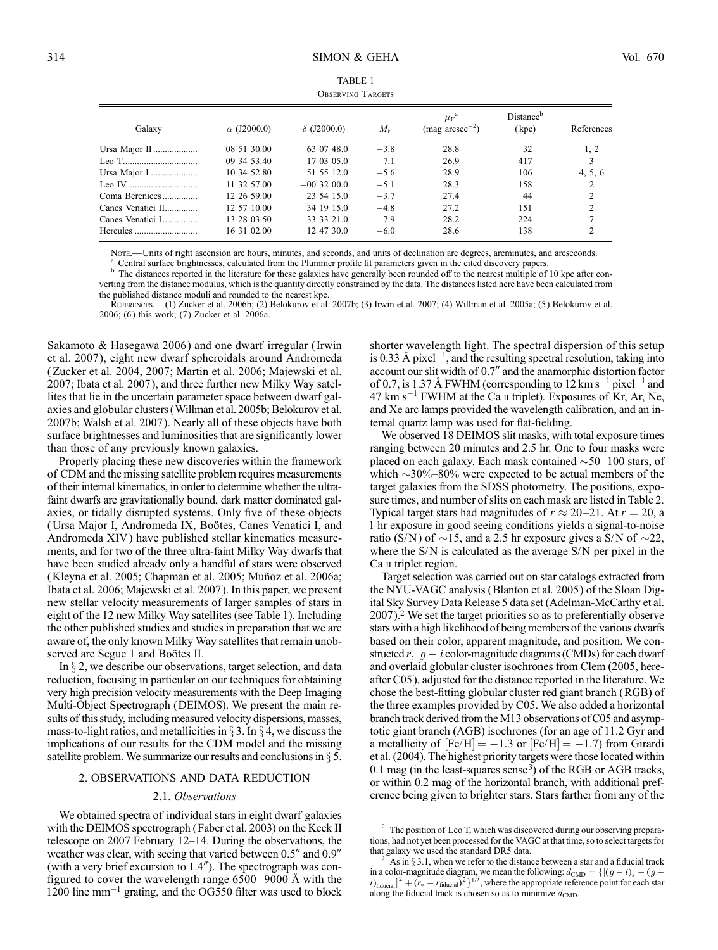| Galaxy            | $\alpha$ (J2000.0) | $\delta$ (J2000.0) | $M_V$  | $\mu_V^{\rm a}$<br>$(mag arcsec^{-2})$ | Distance <sup>b</sup><br>(kpc) | References |
|-------------------|--------------------|--------------------|--------|----------------------------------------|--------------------------------|------------|
| Ursa Major II     | 08 51 30.00        | 63 07 48.0         | $-3.8$ | 28.8                                   | 32                             | 1, 2       |
| Leo T             | 09 34 53.40        | 17 03 05.0         | $-7.1$ | 26.9                                   | 417                            | 3          |
| Ursa Major I      | 10 34 52.80        | 51 55 12.0         | $-5.6$ | 28.9                                   | 106                            | 4, 5, 6    |
| Leo IV            | 11 32 57.00        | $-00, 32, 00.0$    | $-5.1$ | 28.3                                   | 158                            | 2          |
| Coma Berenices    | 12 26 59.00        | 23 54 15.0         | $-3.7$ | 27.4                                   | 44                             | 2          |
| Canes Venatici II | 12 57 10.00        | 34 19 15.0         | $-4.8$ | 27.2                                   | 151                            | 2          |
| Canes Venatici I  | 13 28 03.50        | 33 33 21.0         | $-7.9$ | 28.2                                   | 224                            |            |
| Hercules          | 16 31 02.00        | 12 47 30.0         | $-6.0$ | 28.6                                   | 138                            |            |

TABLE 1 OBSERVING TARGETS

Nore.—Units of right ascension are hours, minutes, and seconds, and units of declination are degrees, arcminutes, and arcseconds.<br><sup>a</sup> Central surface brightnesses, calculated from the Plummer profile fit parameters given i

verting from the distance modulus, which is the quantity directly constrained by the data. The distances listed here have been calculated from the published distance moduli and rounded to the nearest kpc.

References.—(1) Zucker et al. 2006b; (2) Belokurov et al. 2007b; (3) Irwin et al. 2007; (4) Willman et al. 2005a; (5 ) Belokurov et al. 2006; (6 ) this work; (7 ) Zucker et al. 2006a.

Sakamoto & Hasegawa 2006) and one dwarf irregular ( Irwin et al. 2007 ), eight new dwarf spheroidals around Andromeda (Zucker et al. 2004, 2007; Martin et al. 2006; Majewski et al. 2007; Ibata et al. 2007), and three further new Milky Way satellites that lie in the uncertain parameter space between dwarf galaxies and globular clusters (Willman et al. 2005b; Belokurov et al. 2007b; Walsh et al. 2007). Nearly all of these objects have both surface brightnesses and luminosities that are significantly lower than those of any previously known galaxies.

Properly placing these new discoveries within the framework of CDM and the missing satellite problem requires measurements of their internal kinematics, in order to determine whether the ultrafaint dwarfs are gravitationally bound, dark matter dominated galaxies, or tidally disrupted systems. Only five of these objects (Ursa Major I, Andromeda IX, Boötes, Canes Venatici I, and Andromeda XIV ) have published stellar kinematics measurements, and for two of the three ultra-faint Milky Way dwarfs that have been studied already only a handful of stars were observed (Kleyna et al. 2005; Chapman et al. 2005; Muñoz et al. 2006a; Ibata et al. 2006; Majewski et al. 2007). In this paper, we present new stellar velocity measurements of larger samples of stars in eight of the 12 new Milky Way satellites (see Table 1). Including the other published studies and studies in preparation that we are aware of, the only known Milky Way satellites that remain unobserved are Segue 1 and Boötes II.

In  $\S 2$ , we describe our observations, target selection, and data reduction, focusing in particular on our techniques for obtaining very high precision velocity measurements with the Deep Imaging Multi-Object Spectrograph (DEIMOS). We present the main results of this study, including measured velocity dispersions, masses, mass-to-light ratios, and metallicities in  $\S 3$ . In  $\S 4$ , we discuss the implications of our results for the CDM model and the missing satellite problem. We summarize our results and conclusions in  $\S$  5.

## 2. OBSERVATIONS AND DATA REDUCTION

#### 2.1. Observations

We obtained spectra of individual stars in eight dwarf galaxies with the DEIMOS spectrograph (Faber et al. 2003) on the Keck II telescope on  $2007$  February 12-14. During the observations, the weather was clear, with seeing that varied between  $0.5$ <sup>n</sup> and  $0.9$ <sup>n</sup> (with a very brief excursion to  $1.4$ "). The spectrograph was configured to cover the wavelength range  $6500-9000$  Å with the 1200 line  $mm^{-1}$  grating, and the OG550 filter was used to block

shorter wavelength light. The spectral dispersion of this setup is 0.33 Å pixel<sup>-1</sup>, and the resulting spectral resolution, taking into account our slit width of 0.7" and the anamorphic distortion factor of 0.7, is 1.37 Å FWHM (corresponding to  $12 \text{ km s}^{-1}$  pixel<sup>-1</sup> and 47 km  $s^{-1}$  FWHM at the Ca  $\pi$  triplet). Exposures of Kr, Ar, Ne, and Xe arc lamps provided the wavelength calibration, and an internal quartz lamp was used for flat-fielding.

We observed 18 DEIMOS slit masks, with total exposure times ranging between 20 minutes and 2.5 hr. One to four masks were placed on each galaxy. Each mask contained  $\sim$  50–100 stars, of which  $\sim$ 30% $-80\%$  were expected to be actual members of the target galaxies from the SDSS photometry. The positions, exposure times, and number of slits on each mask are listed in Table 2. Typical target stars had magnitudes of  $r \approx 20-21$ . At  $r = 20$ , a 1 hr exposure in good seeing conditions yields a signal-to-noise ratio (S/N) of  $\sim$ 15, and a 2.5 hr exposure gives a S/N of  $\sim$ 22, where the S/N is calculated as the average S/N per pixel in the Ca  $\pi$  triplet region.

Target selection was carried out on star catalogs extracted from the NYU-VAGC analysis (Blanton et al. 2005) of the Sloan Digital Sky Survey Data Release 5 data set (Adelman-McCarthy et al. 2007).2 We set the target priorities so as to preferentially observe stars with a high likelihood of being members of the various dwarfs based on their color, apparent magnitude, and position. We constructed r,  $q - i$  color-magnitude diagrams (CMDs) for each dwarf and overlaid globular cluster isochrones from Clem (2005, hereafter C05 ), adjusted for the distance reported in the literature. We chose the best-fitting globular cluster red giant branch (RGB) of the three examples provided by C05. We also added a horizontal branch track derived from the M13 observations of C05 and asymptotic giant branch (AGB) isochrones (for an age of 11.2 Gyr and a metallicity of  $[Fe/H] = -1.3$  or  $[Fe/H] = -1.7$ ) from Girardi et al. (2004). The highest priority targets were those located within 0.1 mag (in the least-squares sense<sup>3</sup>) of the RGB or AGB tracks, or within 0.2 mag of the horizontal branch, with additional preference being given to brighter stars. Stars farther from any of the

<sup>&</sup>lt;sup>2</sup> The position of Leo T, which was discovered during our observing preparations, had not yet been processed for the VAGC at that time, so to select targets for that galaxy we used the standard DR5 data.<br><sup>3</sup> As in  $\S 3.1$ , when we refer to the distance between a star and a fiducial track

in a color-magnitude diagram, we mean the following:  $d_{\text{CMD}} = \{[(g - i)_* - (g - i)^* \}$  $(i)_{\text{fiducial}}$ ]<sup>2</sup> +  $(r_* - r_{\text{fiducial}})^2$ <sup>1/2</sup>, where the appropriate reference point for each star along the fiducial track is chosen so as to minimize  $d_{\text{CMD}}$ .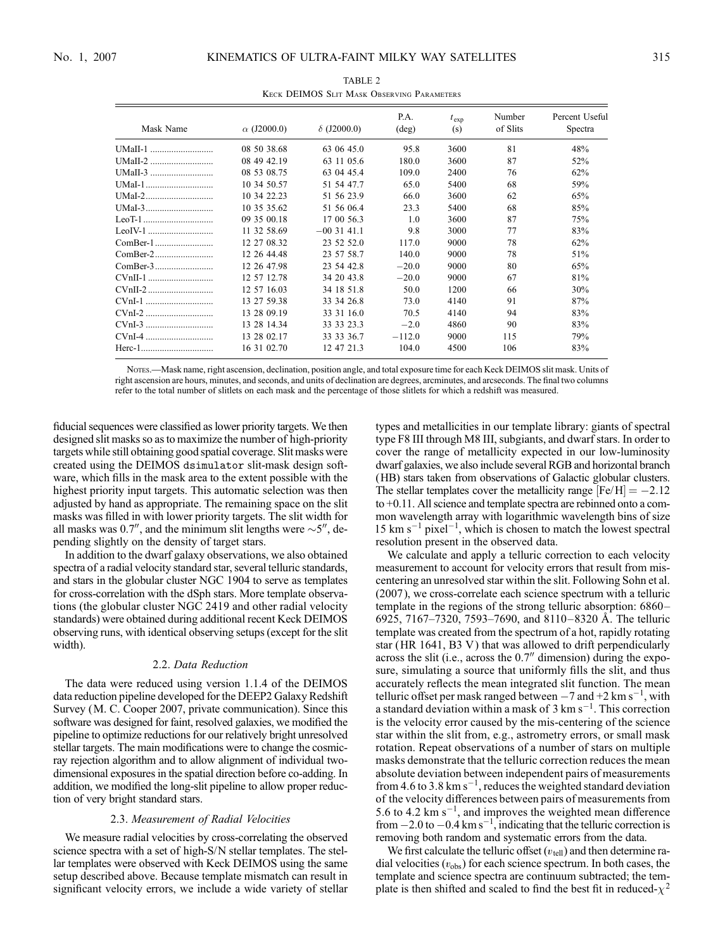| Mask Name | $\alpha$ (J2000.0) | $\delta$ (J2000.0) | P.A.<br>$(\text{deg})$ | $t_{\rm exp}$<br>(s) | Number<br>of Slits | Percent Useful<br>Spectra |
|-----------|--------------------|--------------------|------------------------|----------------------|--------------------|---------------------------|
| UMaII-1   | 08 50 38.68        | 63 06 45.0         | 95.8                   | 3600                 | 81                 | 48%                       |
| UMaII-2   | 08 49 42.19        | 63 11 05.6         | 180.0                  | 3600                 | 87                 | 52%                       |
| UMaII-3   | 08 53 08.75        | 63 04 45.4         | 109.0                  | 2400                 | 76                 | 62%                       |
|           | 10 34 50.57        | 51 54 47.7         | 65.0                   | 5400                 | 68                 | 59%                       |
|           | 10 34 22.23        | 51 56 23.9         | 66.0                   | 3600                 | 62                 | 65%                       |
|           | 10 35 35.62        | 51 56 06.4         | 23.3                   | 5400                 | 68                 | 85%                       |
|           | 09 35 00.18        | 17 00 56.3         | 1.0                    | 3600                 | 87                 | 75%                       |
|           | 11 32 58.69        | $-00$ 31 41.1      | 9.8                    | 3000                 | 77                 | 83%                       |
|           | 12 27 08.32        | 23 52 52.0         | 117.0                  | 9000                 | 78                 | 62%                       |
|           | 12 26 44.48        | 23 57 58.7         | 140.0                  | 9000                 | 78                 | 51%                       |
|           | 12 26 47.98        | 23 54 42.8         | $-20.0$                | 9000                 | 80                 | 65%                       |
|           | 12 57 12.78        | 34 20 43.8         | $-20.0$                | 9000                 | 67                 | 81%                       |
|           | 12 57 16.03        | 34 18 51.8         | 50.0                   | 1200                 | 66                 | 30%                       |
|           | 13 27 59.38        | 33 34 26.8         | 73.0                   | 4140                 | 91                 | 87%                       |
|           | 13 28 09.19        | 33 31 16.0         | 70.5                   | 4140                 | 94                 | 83%                       |
|           | 13 28 14.34        | 33 33 23.3         | $-2.0$                 | 4860                 | 90                 | 83%                       |
|           | 13 28 02.17        | 33 33 36.7         | $-112.0$               | 9000                 | 115                | 79%                       |
|           | 16 31 02.70        | 12 47 21.3         | 104.0                  | 4500                 | 106                | 83%                       |

| TABLE 2                                    |  |
|--------------------------------------------|--|
| KECK DEIMOS SLIT MASK OBSERVING PARAMETERS |  |

Notes.—Mask name, right ascension, declination, position angle, and total exposure time for each Keck DEIMOS slit mask. Units of right ascension are hours, minutes, and seconds, and units of declination are degrees, arcminutes, and arcseconds. The final two columns refer to the total number of slitlets on each mask and the percentage of those slitlets for which a redshift was measured.

fiducial sequences were classified as lower priority targets. We then designed slit masks so as to maximize the number of high-priority targets while still obtaining good spatial coverage. Slit masks were created using the DEIMOS dsimulator slit-mask design software, which fills in the mask area to the extent possible with the highest priority input targets. This automatic selection was then adjusted by hand as appropriate. The remaining space on the slit masks was filled in with lower priority targets. The slit width for all masks was 0.7", and the minimum slit lengths were  $\sim$  5", depending slightly on the density of target stars.

In addition to the dwarf galaxy observations, we also obtained spectra of a radial velocity standard star, several telluric standards, and stars in the globular cluster NGC 1904 to serve as templates for cross-correlation with the dSph stars. More template observations (the globular cluster NGC 2419 and other radial velocity standards) were obtained during additional recent Keck DEIMOS observing runs, with identical observing setups (except for the slit width).

### 2.2. Data Reduction

The data were reduced using version 1.1.4 of the DEIMOS data reduction pipeline developed for the DEEP2 Galaxy Redshift Survey (M. C. Cooper 2007, private communication). Since this software was designed for faint, resolved galaxies, we modified the pipeline to optimize reductions for our relatively bright unresolved stellar targets. The main modifications were to change the cosmicray rejection algorithm and to allow alignment of individual twodimensional exposures in the spatial direction before co-adding. In addition, we modified the long-slit pipeline to allow proper reduction of very bright standard stars.

## 2.3. Measurement of Radial Velocities

We measure radial velocities by cross-correlating the observed science spectra with a set of high-S/N stellar templates. The stellar templates were observed with Keck DEIMOS using the same setup described above. Because template mismatch can result in significant velocity errors, we include a wide variety of stellar types and metallicities in our template library: giants of spectral type F8 III through M8 III, subgiants, and dwarf stars. In order to cover the range of metallicity expected in our low-luminosity dwarf galaxies, we also include several RGB and horizontal branch (HB) stars taken from observations of Galactic globular clusters. The stellar templates cover the metallicity range  $[Fe/H] = -2.12$ to +0.11. All science and template spectra are rebinned onto a common wavelength array with logarithmic wavelength bins of size 15 km  $s^{-1}$  pixel<sup>-1</sup>, which is chosen to match the lowest spectral resolution present in the observed data.

We calculate and apply a telluric correction to each velocity measurement to account for velocity errors that result from miscentering an unresolved star within the slit. Following Sohn et al. (2007 ), we cross-correlate each science spectrum with a telluric template in the regions of the strong telluric absorption:  $6860-$ 6925, 7167–7320, 7593–7690, and 8110–8320 Å. The telluric template was created from the spectrum of a hot, rapidly rotating star (HR 1641, B3 V) that was allowed to drift perpendicularly across the slit (i.e., across the  $0.7<sup>u</sup>$  dimension) during the exposure, simulating a source that uniformly fills the slit, and thus accurately reflects the mean integrated slit function. The mean telluric offset per mask ranged between  $-7$  and  $+2$  km s<sup>-1</sup>, with a standard deviation within a mask of  $3 \text{ km s}^{-1}$ . This correction is the velocity error caused by the mis-centering of the science star within the slit from, e.g., astrometry errors, or small mask rotation. Repeat observations of a number of stars on multiple masks demonstrate that the telluric correction reduces the mean absolute deviation between independent pairs of measurements from 4.6 to 3.8 km  $s^{-1}$ , reduces the weighted standard deviation of the velocity differences between pairs of measurements from 5.6 to 4.2  $\text{km s}^{-1}$ , and improves the weighted mean difference from  $-2.0$  to  $-0.4$  km s<sup>-1</sup>, indicating that the telluric correction is removing both random and systematic errors from the data.

We first calculate the telluric offset  $(v_{\text{tell}})$  and then determine radial velocities  $(v_{obs})$  for each science spectrum. In both cases, the template and science spectra are continuum subtracted; the template is then shifted and scaled to find the best fit in reduced- $\chi^2$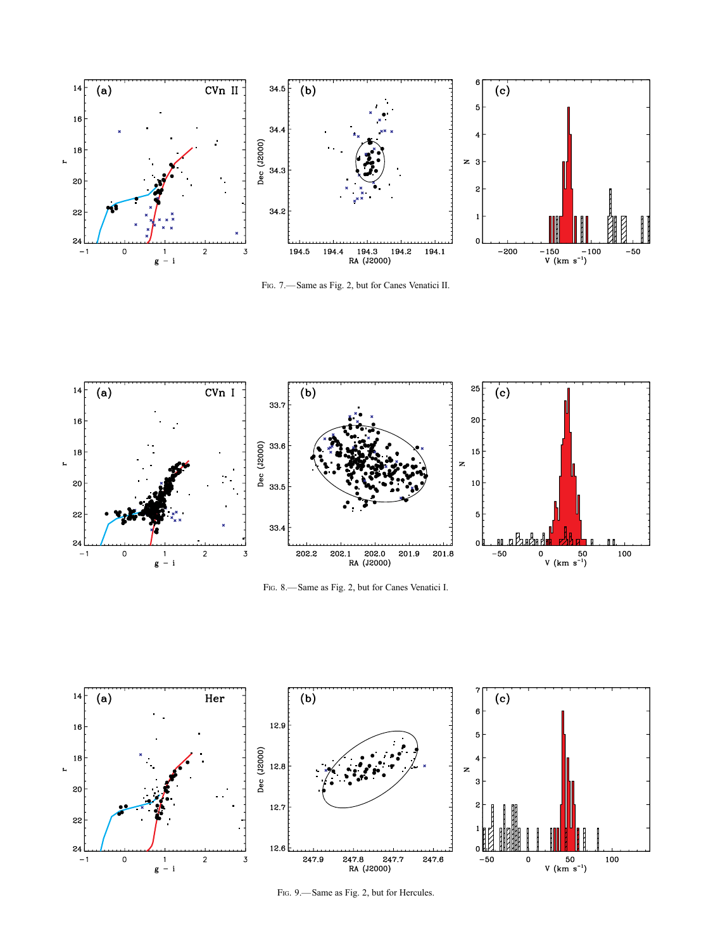

Fig. 7.—Same as Fig. 2, but for Canes Venatici II.



Fig. 8.—Same as Fig. 2, but for Canes Venatici I.



Fig. 9.—Same as Fig. 2, but for Hercules.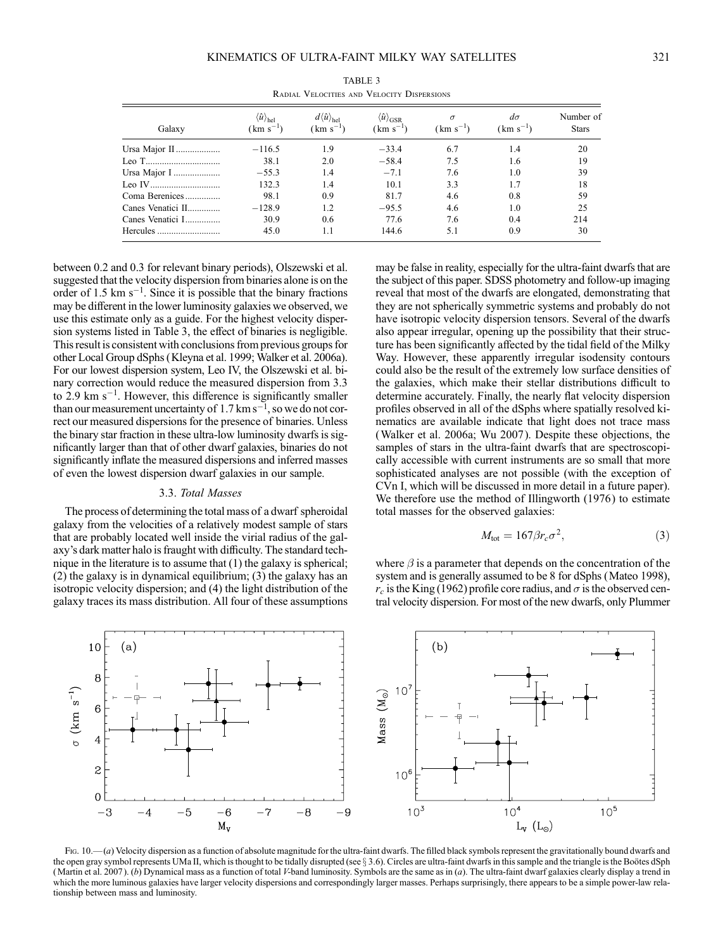## KINEMATICS OF ULTRA-FAINT MILKY WAY SATELLITES

| ۰. |
|----|
| -  |

| Galaxy            | $\left\langle \hat{u} \right\rangle_\text{hel}$<br>$km s^{-1}$ | $d\langle \hat{u} \rangle_\text{hel}$<br>$km s^{-1}$ | $\braket{\hat{\mathcal{u}}}_{\text{GSR}}$<br>$(km s^{-1})$ | $\sigma$<br>$(km s^{-1})$ | $d\sigma$<br>$(km s^{-1})$ | Number of<br><b>Stars</b> |
|-------------------|----------------------------------------------------------------|------------------------------------------------------|------------------------------------------------------------|---------------------------|----------------------------|---------------------------|
| Ursa Major II     | $-116.5$                                                       | 1.9                                                  | $-33.4$                                                    | 6.7                       | 1.4                        | 20                        |
|                   | 38.1                                                           | 2.0                                                  | $-58.4$                                                    | 7.5                       | 1.6                        | 19                        |
| Ursa Major I      | $-55.3$                                                        | 1.4                                                  | $-7.1$                                                     | 7.6                       | 1.0                        | 39                        |
|                   | 132.3                                                          | 1.4                                                  | 10.1                                                       | 3.3                       | 1.7                        | 18                        |
| Coma Berenices    | 98.1                                                           | 0.9                                                  | 81.7                                                       | 4.6                       | 0.8                        | 59                        |
| Canes Venatici II | $-128.9$                                                       | 1.2                                                  | $-95.5$                                                    | 4.6                       | 1.0                        | 25                        |
| Canes Venatici I  | 30.9                                                           | 0.6                                                  | 77.6                                                       | 7.6                       | 0.4                        | 214                       |
|                   | 45.0                                                           | 1.1                                                  | 144.6                                                      | 5.1                       | 0.9                        | 30                        |

| TABLE 3 |  |  |  |                                            |
|---------|--|--|--|--------------------------------------------|
|         |  |  |  | RADIAL VELOCITIES AND VELOCITY DISPERSIONS |

between 0.2 and 0.3 for relevant binary periods), Olszewski et al. suggested that the velocity dispersion from binaries alone is on the order of 1.5  $\text{km s}^{-1}$ . Since it is possible that the binary fractions may be different in the lower luminosity galaxies we observed, we use this estimate only as a guide. For the highest velocity dispersion systems listed in Table 3, the effect of binaries is negligible. This result is consistent with conclusions from previous groups for other Local Group dSphs (Kleyna et al. 1999; Walker et al. 2006a). For our lowest dispersion system, Leo IV, the Olszewski et al. binary correction would reduce the measured dispersion from 3.3 to 2.9 km  $s^{-1}$ . However, this difference is significantly smaller than our measurement uncertainty of  $1.7 \text{ km s}^{-1}$ , so we do not correct our measured dispersions for the presence of binaries. Unless the binary star fraction in these ultra-low luminosity dwarfs is significantly larger than that of other dwarf galaxies, binaries do not significantly inflate the measured dispersions and inferred masses of even the lowest dispersion dwarf galaxies in our sample.

## 3.3. Total Masses

The process of determining the total mass of a dwarf spheroidal galaxy from the velocities of a relatively modest sample of stars that are probably located well inside the virial radius of the galaxy's dark matter halo is fraught with difficulty. The standard technique in the literature is to assume that (1) the galaxy is spherical; (2) the galaxy is in dynamical equilibrium; (3) the galaxy has an isotropic velocity dispersion; and (4) the light distribution of the galaxy traces its mass distribution. All four of these assumptions

may be false in reality, especially for the ultra-faint dwarfs that are the subject of this paper. SDSS photometry and follow-up imaging reveal that most of the dwarfs are elongated, demonstrating that they are not spherically symmetric systems and probably do not have isotropic velocity dispersion tensors. Several of the dwarfs also appear irregular, opening up the possibility that their structure has been significantly affected by the tidal field of the Milky Way. However, these apparently irregular isodensity contours could also be the result of the extremely low surface densities of the galaxies, which make their stellar distributions difficult to determine accurately. Finally, the nearly flat velocity dispersion profiles observed in all of the dSphs where spatially resolved kinematics are available indicate that light does not trace mass (Walker et al. 2006a; Wu 2007 ). Despite these objections, the samples of stars in the ultra-faint dwarfs that are spectroscopically accessible with current instruments are so small that more sophisticated analyses are not possible (with the exception of CVn I, which will be discussed in more detail in a future paper). We therefore use the method of Illingworth (1976) to estimate total masses for the observed galaxies:

$$
M_{\text{tot}} = 167 \beta r_c \sigma^2, \tag{3}
$$

where  $\beta$  is a parameter that depends on the concentration of the system and is generally assumed to be 8 for dSphs (Mateo 1998),  $r_c$  is the King (1962) profile core radius, and  $\sigma$  is the observed central velocity dispersion. For most of the new dwarfs, only Plummer



Fig.  $10-(a)$  Velocity dispersion as a function of absolute magnitude for the ultra-faint dwarfs. The filled black symbols represent the gravitationally bound dwarfs and the open gray symbol represents UMa II, which is thought to be tidally disrupted (see  $\S$  3.6). Circles are ultra-faint dwarfs in this sample and the triangle is the Boötes dSph (Martin et al. 2007 ). (b) Dynamical mass as a function of total V-band luminosity. Symbols are the same as in (a). The ultra-faint dwarf galaxies clearly display a trend in which the more luminous galaxies have larger velocity dispersions and correspondingly larger masses. Perhaps surprisingly, there appears to be a simple power-law relationship between mass and luminosity.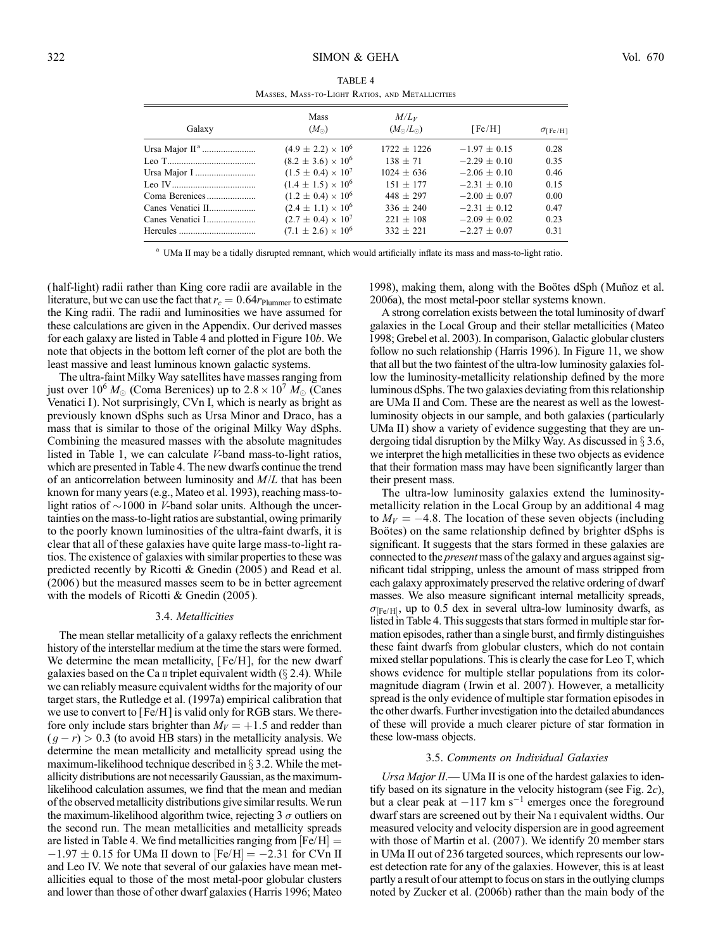| TABLE 4                                         |  |
|-------------------------------------------------|--|
| MASSES, MASS-TO-LIGHT RATIOS, AND METALLICITIES |  |

|                   | Mass                          | $M/L_V$                 |                  |                 |
|-------------------|-------------------------------|-------------------------|------------------|-----------------|
| Galaxy            | $(M_{\odot})$                 | $(M_{\odot}/L_{\odot})$ | [Fe/H]           | $\sigma$ [Fe/H] |
| Ursa Major $II^a$ | $(4.9 \pm 2.2) \times 10^6$   | $1722 + 1226$           | $-1.97 \pm 0.15$ | 0.28            |
|                   | $(8.2 \pm 3.6) \times 10^6$   | $138 \pm 71$            | $-2.29 \pm 0.10$ | 0.35            |
|                   | $(1.5 \pm 0.4) \times 10^7$   | $1024 + 636$            | $-2.06 + 0.10$   | 0.46            |
|                   | $(1.4 \pm 1.5) \times 10^6$   | $151 + 177$             | $-2.31 + 0.10$   | 0.15            |
| Coma Berenices    | $(1.2 \pm 0.4) \times 10^6$   | $448 + 297$             | $-2.00 \pm 0.07$ | 0.00            |
| Canes Venatici II | $(2.4 \pm 1.1) \times 10^6$   | $336 + 240$             | $-2.31 + 0.12$   | 0.47            |
| Canes Venatici I  | $(2.7 \pm 0.4) \times 10^{7}$ | $221 + 108$             | $-2.09 \pm 0.02$ | 0.23            |
|                   | $(7.1 \pm 2.6) \times 10^6$   | $332 + 221$             | $-2.27 \pm 0.07$ | 0.31            |

<sup>a</sup> UMa II may be a tidally disrupted remnant, which would artificially inflate its mass and mass-to-light ratio.

( half-light) radii rather than King core radii are available in the literature, but we can use the fact that  $r_c = 0.64 r_{\text{Plummer}}$  to estimate the King radii. The radii and luminosities we have assumed for these calculations are given in the Appendix. Our derived masses for each galaxy are listed in Table 4 and plotted in Figure 10b. We note that objects in the bottom left corner of the plot are both the least massive and least luminous known galactic systems.

The ultra-faint Milky Way satellites have masses ranging from just over  $10^6 M_{\odot}$  (Coma Berenices) up to  $2.8 \times 10^7 M_{\odot}$  (Canes Venatici I). Not surprisingly, CVn I, which is nearly as bright as previously known dSphs such as Ursa Minor and Draco, has a mass that is similar to those of the original Milky Way dSphs. Combining the measured masses with the absolute magnitudes listed in Table 1, we can calculate V-band mass-to-light ratios, which are presented in Table 4. The new dwarfs continue the trend of an anticorrelation between luminosity and  $M/L$  that has been known for many years (e.g., Mateo et al. 1993), reaching mass-tolight ratios of  $\sim$ 1000 in *V*-band solar units. Although the uncertainties on the mass-to-light ratios are substantial, owing primarily to the poorly known luminosities of the ultra-faint dwarfs, it is clear that all of these galaxies have quite large mass-to-light ratios. The existence of galaxies with similar properties to these was predicted recently by Ricotti & Gnedin (2005) and Read et al. (2006 ) but the measured masses seem to be in better agreement with the models of Ricotti & Gnedin (2005).

#### 3.4. Metallicities

The mean stellar metallicity of a galaxy reflects the enrichment history of the interstellar medium at the time the stars were formed. We determine the mean metallicity, [Fe/H], for the new dwarf galaxies based on the Ca  $\pi$  triplet equivalent width ( $\S$  2.4). While we can reliably measure equivalent widths for the majority of our target stars, the Rutledge et al. (1997a) empirical calibration that we use to convert to [Fe/H] is valid only for RGB stars. We therefore only include stars brighter than  $M_V = +1.5$  and redder than  $(g - r) > 0.3$  (to avoid HB stars) in the metallicity analysis. We determine the mean metallicity and metallicity spread using the maximum-likelihood technique described in  $\S$  3.2. While the metallicity distributions are not necessarily Gaussian, as the maximumlikelihood calculation assumes, we find that the mean and median of the observed metallicity distributions give similar results.We run the maximum-likelihood algorithm twice, rejecting 3  $\sigma$  outliers on the second run. The mean metallicities and metallicity spreads are listed in Table 4. We find metallicities ranging from  $\text{[Fe/H]} =$  $-1.97 \pm 0.15$  for UMa II down to  $[Fe/H] = -2.31$  for CVn II and Leo IV. We note that several of our galaxies have mean metallicities equal to those of the most metal-poor globular clusters and lower than those of other dwarf galaxies (Harris 1996; Mateo

1998), making them, along with the Boötes dSph (Muñoz et al. 2006a), the most metal-poor stellar systems known.

A strong correlation exists between the total luminosity of dwarf galaxies in the Local Group and their stellar metallicities (Mateo 1998; Grebel et al. 2003). In comparison, Galactic globular clusters follow no such relationship (Harris 1996). In Figure 11, we show that all but the two faintest of the ultra-low luminosity galaxies follow the luminosity-metallicity relationship defined by the more luminous dSphs. The two galaxies deviating from this relationship are UMa II and Com. These are the nearest as well as the lowestluminosity objects in our sample, and both galaxies (particularly UMa II) show a variety of evidence suggesting that they are undergoing tidal disruption by the Milky Way. As discussed in  $\S 3.6$ , we interpret the high metallicities in these two objects as evidence that their formation mass may have been significantly larger than their present mass.

The ultra-low luminosity galaxies extend the luminositymetallicity relation in the Local Group by an additional 4 mag to  $M_V = -4.8$ . The location of these seven objects (including Bootes) on the same relationship defined by brighter dSphs is significant. It suggests that the stars formed in these galaxies are connected to the present mass of the galaxy and argues against significant tidal stripping, unless the amount of mass stripped from each galaxy approximately preserved the relative ordering of dwarf masses. We also measure significant internal metallicity spreads,  $\sigma_{\text{[Fe/H]}}$ , up to 0.5 dex in several ultra-low luminosity dwarfs, as listed in Table 4. This suggests that stars formed in multiple star formation episodes, rather than a single burst, and firmly distinguishes these faint dwarfs from globular clusters, which do not contain mixed stellar populations. This is clearly the case for Leo T, which shows evidence for multiple stellar populations from its colormagnitude diagram ( Irwin et al. 2007 ). However, a metallicity spread is the only evidence of multiple star formation episodes in the other dwarfs. Further investigation into the detailed abundances of these will provide a much clearer picture of star formation in these low-mass objects.

#### 3.5. Comments on Individual Galaxies

Ursa Major II.— UMa II is one of the hardest galaxies to identify based on its signature in the velocity histogram (see Fig. 2c), but a clear peak at  $-117$  km s<sup>-1</sup> emerges once the foreground dwarf stars are screened out by their Na i equivalent widths. Our measured velocity and velocity dispersion are in good agreement with those of Martin et al. (2007). We identify 20 member stars in UMa II out of 236 targeted sources, which represents our lowest detection rate for any of the galaxies. However, this is at least partly a result of our attempt to focus on stars in the outlying clumps noted by Zucker et al. (2006b) rather than the main body of the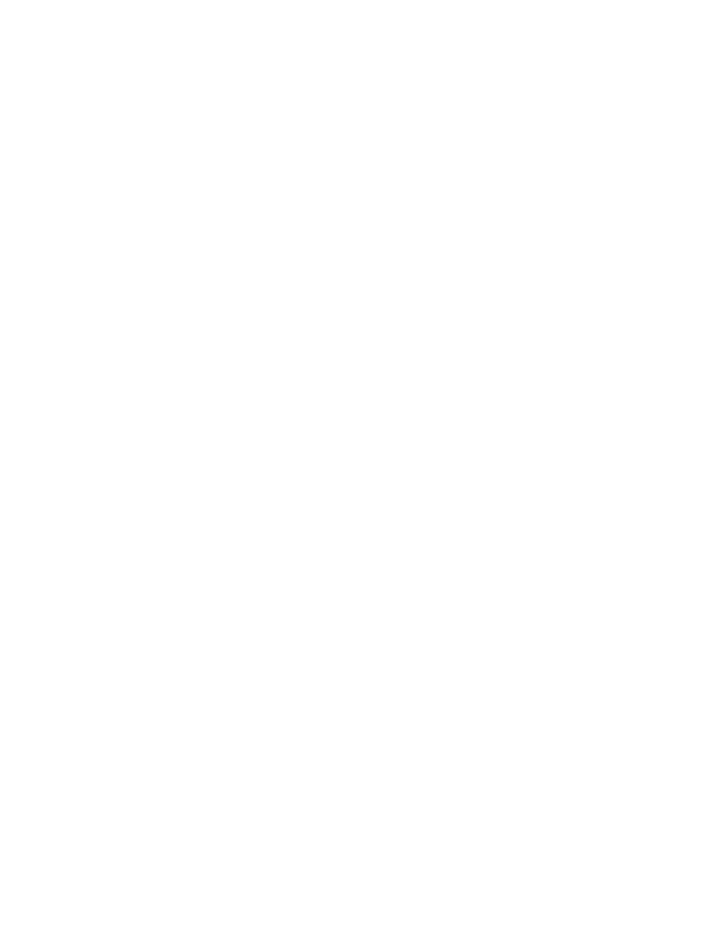this star from the sample then the velocity dispersion of the gal-parts. While the available evidence is suggestive of the possibility axy would decrease to  $24$  0:9 km s <sup>1</sup>.

#### 3.6.Tidal Disruption

evidence for ongoing tidal disruption by the Milky Way. As men-sociated stellar stream) could change this picture. tioned inx 3.5, the properties of UMa II and perhaps Com appear to be affected by these interactions.

UMa II is located very close to the Milky Way, second only to gesting tidal disruption. Sagittarius (which is the archetype of tidally disrupting dwarfs) among the known dSphs. Zucker et al. (2006b) noted that UMa II appears irregular and that its stars are broken up into several subclumps. Belokurov et al. (2007a) pointed out that the Orphan Stream lies along a great circle intersecting the position of UMa II, and our measured radial velocity of  $165$  1:9 km s <sup>1</sup> is in reasonable agreement with the 100 km predicted by Fellhauer et al. (2007) if UMa II is associated with the Orphan Stream. the likely exception of UMa II (and possibly Coma Berenices as Fellhauer et al. also predict a roughly north-south velocity gra-well) the ultra-faint dwarfs seem to be dark matter dominated dient over several degrees within UMa II. Although our member systems, with masses lower than those of the previously known sample only spans a declination range of  $9$  & 6 do detect a modest correlation between radial velocity and declination among theently the darkest known stellar systems in the universe. member stars (correlation coefÞcient 0f.40), in the same sense as predicted. More signiÞcantly, we Þnd strong evidence for a dif-have on the abundance of satellite galaxies around the Milky Way halves of the galaxy, with the stars on the eastern side having the properties of subhalos Mhbody simulations. The simplest velocity 84 – 1:4 km s ' larger than those on the western side. possible approach is to estimate the halo circular velocities of<br>It is highly unlikely that a galaxy as small as UMa II would show ultra-faint dwarfs as<sub>ci</sub> viously, UMa II is also a clear outlier from t $M_{\odot}$ - trend shown in Figure 1@. This galaxy therefore either has a mass-to-light in detail, if we use cumulative satellite distributions then the reratio several times larger than any other dwarf (Table 4), or its ve-sults of this exercise are relatively insensitive to them. The circular Way. Finally, UMa II has a metallicity 0.5 dex higher than Taken together, all of these independent results make a strong ca**se**lar velocity is (Strigari et al. 2007a); these calculations will be for the imminent tidal disruption of UMa II, and we are not aware presented in a future paper (L. E. Strigari et al. 2008, in prepara-

exceptionally low luminosity  $M_V$  % 3:7, compared to  $M_V$  %

3:8), a location near the Milky Way (44 kpc instead of 32 kpc), SDSS, where all of the new Milky Way satellites have been disand an unexpectedly high stellar metallicity. As with UMa II, we covered, only covers 8000 degf sky, we must weight each of Þnd a modest correlation of velocity with position in the galaxy the new dwarfs by a factor of5 to account for the additional (correlation coef pcient of velocity with right ascension  $-24$ ). Dividing the galaxy in half along the minor axis, we Þnd a mean has been similarly surveyed. velocity of 933 1:1 km s  $1$  for the northwestern side and a mean velocity of 9 $\delta$  0:5 km s<sup>1</sup> for the southeastern side. This velocity difference is signiÞcant at the 4level. As with UMa II, it is not expected that galaxies of this size are rotation-5<sup>2</sup>N<sub>new</sub>)<sup>1/2</sup>, whereN<sub>old</sub> andN<sub>new</sub> refer to the previously known ally supported, so if this velocity gradient is real it suggests that and newly discovered dwarf galaxies, respectively]. For com-Coma Berenices, like UMa II, may be distorted by tidal forces. parison, we include the subhalo circular velocity function from On the other hand, there are no known tidal streams that are plauthe recent Via Lactea simulation, currently the highest resolusibly associated with Com, its velocity dispersion is approxi- tion (234 million particles)N-body simulation of a Milky Way size mately what would be expected given its luminosity, and its stellar galaxy (Diemand et al. 2007a, 2007b). This simulation assumes the distribution is not noticeably more irregular than those of the otherbest-ÞWMAP3 yr cosmological parameters $_m$  ¼ 0:238,  $\quad$  ¼ ultra-faint dwarfs (there are two bright stars immediately to the 0:762,h ¼ 0:73,n ¼ 0:951, and <sub>8</sub> ¼ 0:74 (Spergel et al. 2007). north of Com that may be responsible for the apparent distortionThe Via Lactea subhalos include all bound halos located within the of the isopleths in that direction pointed out by Belokurov et al. virial radius (389 kpc) of the main halo (see also1.2). The ad-2007b). We also note that, with a smaller half-light radius (and dition of the new dwarfs, combined with the correction for the sky larger central density; sæd.3) than any other Local Group dwarf, area that has yet to be observed with sufÞcient sensitivity, substan-Com may be more robust to disruption than some of its counter-tially changes the appearance of the substructure problem. The ultra-faint dwarfs likely to be discovered once the rest of the sky We display the cumulative number of Milky Way satellites as a function of circular velocity in Figure 12. We assume Poisson uncertainties on the total number of dwarfs  $[4 (N_{old} b$ 

that Coma Berenices could be tidally disrupting, the situation is not nearly as clear cut as it is for UMa II. We therefore treat Com as a bound, dark matter dominated object for now, while recognizing

Two of the dwarfs presented in this paper show at least somehat future observations (most importantly, identiÞcation of an as-For the other six galaxies in our sample, we do not detect any

statistically signiÞcant velocity gradients or other evidence sug-

# 4. DISCUSSION

### 4.1. The Missig Satellite Problem

Understanding the nature of the ultra-faint dwarf galaxies and determining their impact on the missing satellite problem is one of the key goals of this work. Our observations show that with dSphs and very large mass-to-light ratios. These galaxies are cur-

ference in the mean velocity between the eastern and westerrequires having a way to compare observed galaxy properties to velocity 84 1:4 km s <sup>1</sup> larger than those on the western side. possible approach is to estimate the halo circular velocities of the signiÞcant coherent rotation, so this velocity gradient stronglythat the observed dispersions are equivalent to the maximum dissuggests that UMa II is distorted by tidal forces. As noted pre-persions reached in each galaxy, and that the stars have negligible locity dispersion has been inßated by the tidal Þeld of the Milky velocities of dark matter subhalos in the simulations can be meawould be expected from the luminosity-metallicity relationship note that a more accurate means of comparing observed dwarfs to shown in Figure 11. Its metallicity is more appropriate for a sys-simulated subhalos is to use the mass contained within 0.6 kpc, tem with $M_V$   $-$  10 (250 times more luminous than UMa II). which is better constrained by the observations than the halo cirof any observational evidence suggesting that UMa II is bound. tion). Using the above approximation, we Þnd that the ultra-faint Coma Berenices presents an intriguing counterpoint to UMa II. dwarfs have circular velocities from <sub>lic</sub> 1/4 6Y13 km s<sup>1</sup> (for It shares some notable properties with UMa II, including an plotting and comparison purposes, we round the circular velocity Determining the importance of the effect that the new dwarfs orbital anisotropy. Although these assumptions may not be correct sured robustly, giving us an appropriate point of comparison. We of Leo IV up to 6 km  $s<sup>1</sup>$ . Because the Þfth data release of the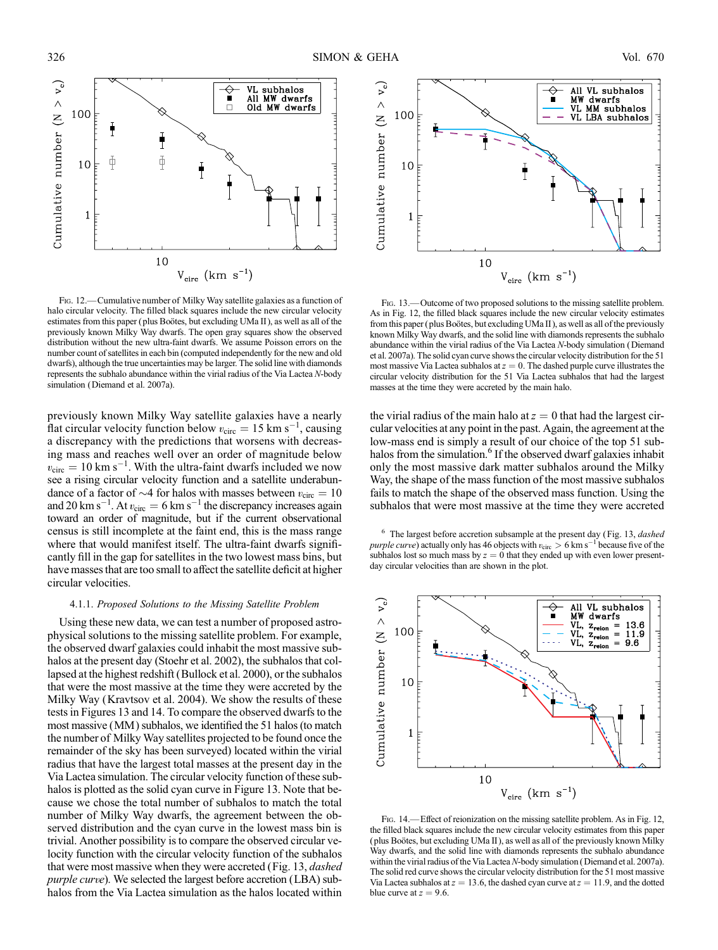

FIG. 12.—Cumulative number of Milky Way satellite galaxies as a function of halo circular velocity. The filled black squares include the new circular velocity estimates from this paper (plus Boötes, but excluding UMa II), as well as all of the previously known Milky Way dwarfs. The open gray squares show the observed distribution without the new ultra-faint dwarfs. We assume Poisson errors on the number count of satellites in each bin (computed independently for the new and old dwarfs), although the true uncertainties may be larger. The solid line with diamonds represents the subhalo abundance within the virial radius of the Via Lactea N-body simulation (Diemand et al. 2007a).

previously known Milky Way satellite galaxies have a nearly flat circular velocity function below  $v_{\text{circ}} = 15 \text{ km s}^{-1}$ , causing a discrepancy with the predictions that worsens with decreasing mass and reaches well over an order of magnitude below  $v_{\text{circ}} = 10 \text{ km s}^{-1}$ . With the ultra-faint dwarfs included we now see a rising circular velocity function and a satellite underabundance of a factor of  $\sim$ 4 for halos with masses between  $v_{\rm circ} = 10$ and 20 km s<sup>-1</sup>. At  $v_{\text{circ}} = 6$  km s<sup>-1</sup> the discrepancy increases again toward an order of magnitude, but if the current observational census is still incomplete at the faint end, this is the mass range where that would manifest itself. The ultra-faint dwarfs significantly fill in the gap for satellites in the two lowest mass bins, but have masses that are too small to affect the satellite deficit at higher circular velocities.

#### 4.1.1. Proposed Solutions to the Missing Satellite Problem

Using these new data, we can test a number of proposed astrophysical solutions to the missing satellite problem. For example, the observed dwarf galaxies could inhabit the most massive subhalos at the present day (Stoehr et al. 2002), the subhalos that collapsed at the highest redshift (Bullock et al. 2000), or the subhalos that were the most massive at the time they were accreted by the Milky Way (Kravtsov et al. 2004). We show the results of these tests in Figures 13 and 14. To compare the observed dwarfs to the most massive (MM ) subhalos, we identified the 51 halos (to match the number of Milky Way satellites projected to be found once the remainder of the sky has been surveyed) located within the virial radius that have the largest total masses at the present day in the Via Lactea simulation. The circular velocity function of these subhalos is plotted as the solid cyan curve in Figure 13. Note that because we chose the total number of subhalos to match the total number of Milky Way dwarfs, the agreement between the observed distribution and the cyan curve in the lowest mass bin is trivial. Another possibility is to compare the observed circular velocity function with the circular velocity function of the subhalos that were most massive when they were accreted (Fig. 13, dashed purple curve). We selected the largest before accretion (LBA) subhalos from the Via Lactea simulation as the halos located within



Fig. 13.—Outcome of two proposed solutions to the missing satellite problem. As in Fig. 12, the filled black squares include the new circular velocity estimates from this paper (plus Boötes, but excluding UMa II), as well as all of the previously known Milky Way dwarfs, and the solid line with diamonds represents the subhalo abundance within the virial radius of the Via Lactea N-body simulation (Diemand et al. 2007a). The solid cyan curve shows the circular velocity distribution for the 51 most massive Via Lactea subhalos at  $z = 0$ . The dashed purple curve illustrates the circular velocity distribution for the 51 Via Lactea subhalos that had the largest masses at the time they were accreted by the main halo.

the virial radius of the main halo at  $z = 0$  that had the largest circular velocities at any point in the past. Again, the agreement at the low-mass end is simply a result of our choice of the top 51 subhalos from the simulation.<sup>6</sup> If the observed dwarf galaxies inhabit only the most massive dark matter subhalos around the Milky Way, the shape of the mass function of the most massive subhalos fails to match the shape of the observed mass function. Using the subhalos that were most massive at the time they were accreted

 $6$  The largest before accretion subsample at the present day (Fig. 13, dashed *purple curve*) actually only has 46 objects with  $v_{\rm circ} > 6$  km s<sup>-1</sup> because five of the subhalos lost so much mass by  $z = 0$  that they ended up with even lower presentday circular velocities than are shown in the plot.



Fig. 14.—Effect of reionization on the missing satellite problem. As in Fig. 12, the filled black squares include the new circular velocity estimates from this paper (plus Boötes, but excluding UMa II), as well as all of the previously known Milky Way dwarfs, and the solid line with diamonds represents the subhalo abundance within the virial radius of the Via Lactea  $N$ -body simulation (Diemand et al. 2007a). The solid red curve shows the circular velocity distribution for the 51 most massive Via Lactea subhalos at  $z = 13.6$ , the dashed cyan curve at  $z = 11.9$ , and the dotted blue curve at  $z = 9.6$ .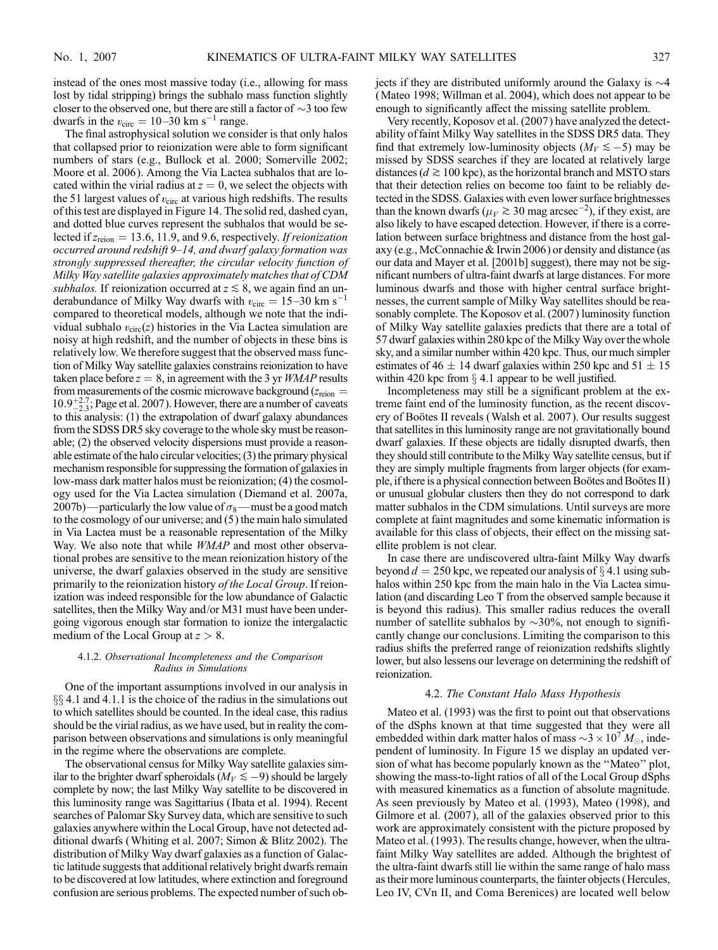instead of the ones most massive today (i.e., allowing for mass lost by tidal stripping) brings the subhalo mass function slightly closer to the observed one, but there are still a factor of  $\sim$ 3 too few dwarfs in the  $v_{\text{circ}} = 10{\text -}30$  km s<sup>-1</sup> range.

The final astrophysical solution we consider is that only halos that collapsed prior to reionization were able to form significant numbers of stars (e.g., Bullock et al. 2000; Somerville 2002; Moore et al. 2006 ). Among the Via Lactea subhalos that are located within the virial radius at  $z = 0$ , we select the objects with the 51 largest values of  $v_{\rm circ}$  at various high redshifts. The results of this test are displayed in Figure 14. The solid red, dashed cyan, and dotted blue curves represent the subhalos that would be selected if  $z_{\text{reion}} = 13.6, 11.9,$  and 9.6, respectively. If reionization occurred around redshift  $9-14$ , and dwarf galaxy formation was strongly suppressed thereafter, the circular velocity function of Milky Way satellite galaxies approximately matches that of CDM subhalos. If reionization occurred at  $z \le 8$ , we again find an underabundance of Milky Way dwarfs with  $v_{\text{circ}} = 15-30 \text{ km s}^{-1}$ compared to theoretical models, although we note that the individual subhalo  $v_{\rm circ}(z)$  histories in the Via Lactea simulation are noisy at high redshift, and the number of objects in these bins is relatively low. We therefore suggest that the observed mass function of Milky Way satellite galaxies constrains reionization to have taken place before  $z = 8$ , in agreement with the 3 yr *WMAP* results from measurements of the cosmic microwave background ( $z_{\rm reion} =$  $10.9_{-2.3}^{+2.7}$ ; Page et al. 2007). However, there are a number of caveats to this analysis: (1) the extrapolation of dwarf galaxy abundances from the SDSS DR5 sky coverage to the whole sky must be reasonable; (2) the observed velocity dispersions must provide a reasonable estimate of the halo circular velocities; (3) the primary physical mechanism responsible for suppressing the formation of galaxies in low-mass dark matter halos must be reionization; (4) the cosmology used for the Via Lactea simulation (Diemand et al. 2007a, 2007b)—particularly the low value of  $\sigma_8$ —must be a good match to the cosmology of our universe; and (5) the main halo simulated in Via Lactea must be a reasonable representation of the Milky Way. We also note that while  $WMAP$  and most other observational probes are sensitive to the mean reionization history of the universe, the dwarf galaxies observed in the study are sensitive primarily to the reionization history of the Local Group. If reionization was indeed responsible for the low abundance of Galactic satellites, then the Milky Way and/or M31 must have been undergoing vigorous enough star formation to ionize the intergalactic medium of the Local Group at  $z > 8$ .

#### 4.1.2. Observational Incompleteness and the Comparison Radius in Simulations

One of the important assumptions involved in our analysis in  $\S\S 4.1$  and 4.1.1 is the choice of the radius in the simulations out to which satellites should be counted. In the ideal case, this radius should be the virial radius, as we have used, but in reality the comparison between observations and simulations is only meaningful in the regime where the observations are complete.

The observational census for Milky Way satellite galaxies similar to the brighter dwarf spheroidals ( $M_V \leq -9$ ) should be largely complete by now; the last Milky Way satellite to be discovered in this luminosity range was Sagittarius ( Ibata et al. 1994). Recent searches of Palomar Sky Survey data, which are sensitive to such galaxies anywhere within the Local Group, have not detected additional dwarfs (Whiting et al. 2007; Simon & Blitz 2002). The distribution of Milky Way dwarf galaxies as a function of Galactic latitude suggests that additional relatively bright dwarfs remain to be discovered at low latitudes, where extinction and foreground confusion are serious problems. The expected number of such objects if they are distributed uniformly around the Galaxy is  $\sim$ 4 (Mateo 1998; Willman et al. 2004), which does not appear to be enough to significantly affect the missing satellite problem.

Very recently, Koposov et al. (2007 ) have analyzed the detectability of faint Milky Way satellites in the SDSS DR5 data. They find that extremely low-luminosity objects  $(M_V \le -5)$  may be missed by SDSS searches if they are located at relatively large distances ( $d \ge 100$  kpc), as the horizontal branch and MSTO stars that their detection relies on become too faint to be reliably detected in the SDSS. Galaxies with even lower surface brightnesses than the known dwarfs ( $\mu_V \gtrsim 30$  mag arcsec<sup>-2</sup>), if they exist, are also likely to have escaped detection. However, if there is a correlation between surface brightness and distance from the host galaxy (e.g., McConnachie & Irwin 2006) or density and distance (as our data and Mayer et al. [2001b] suggest), there may not be significant numbers of ultra-faint dwarfs at large distances. For more luminous dwarfs and those with higher central surface brightnesses, the current sample of Milky Way satellites should be reasonably complete. The Koposov et al. (2007) luminosity function of Milky Way satellite galaxies predicts that there are a total of 57 dwarf galaxies within 280 kpc of the Milky Way over the whole sky, and a similar number within 420 kpc. Thus, our much simpler estimates of 46  $\pm$  14 dwarf galaxies within 250 kpc and 51  $\pm$  15 within 420 kpc from  $\S$  4.1 appear to be well justified.

Incompleteness may still be a significant problem at the extreme faint end of the luminosity function, as the recent discovery of Boötes II reveals (Walsh et al. 2007). Our results suggest that satellites in this luminosity range are not gravitationally bound dwarf galaxies. If these objects are tidally disrupted dwarfs, then they should still contribute to the Milky Way satellite census, but if they are simply multiple fragments from larger objects (for example, if there is a physical connection between Boötes and Boötes  $II$ ) or unusual globular clusters then they do not correspond to dark matter subhalos in the CDM simulations. Until surveys are more complete at faint magnitudes and some kinematic information is available for this class of objects, their effect on the missing satellite problem is not clear.

In case there are undiscovered ultra-faint Milky Way dwarfs beyond  $d = 250$  kpc, we repeated our analysis of  $\S 4.1$  using subhalos within 250 kpc from the main halo in the Via Lactea simulation (and discarding Leo T from the observed sample because it is beyond this radius). This smaller radius reduces the overall number of satellite subhalos by  $\sim$ 30%, not enough to significantly change our conclusions. Limiting the comparison to this radius shifts the preferred range of reionization redshifts slightly lower, but also lessens our leverage on determining the redshift of reionization.

# 4.2. The Constant Halo Mass Hypothesis

Mateo et al. (1993) was the first to point out that observations of the dSphs known at that time suggested that they were all embedded within dark matter halos of mass  $\sim$ 3  $\times$  10<sup>7</sup>  $M_{\odot}$ , independent of luminosity. In Figure 15 we display an updated version of what has become popularly known as the ''Mateo'' plot, showing the mass-to-light ratios of all of the Local Group dSphs with measured kinematics as a function of absolute magnitude. As seen previously by Mateo et al. (1993), Mateo (1998), and Gilmore et al. (2007 ), all of the galaxies observed prior to this work are approximately consistent with the picture proposed by Mateo et al. (1993). The results change, however, when the ultrafaint Milky Way satellites are added. Although the brightest of the ultra-faint dwarfs still lie within the same range of halo mass as their more luminous counterparts, the fainter objects (Hercules, Leo IV, CVn II, and Coma Berenices) are located well below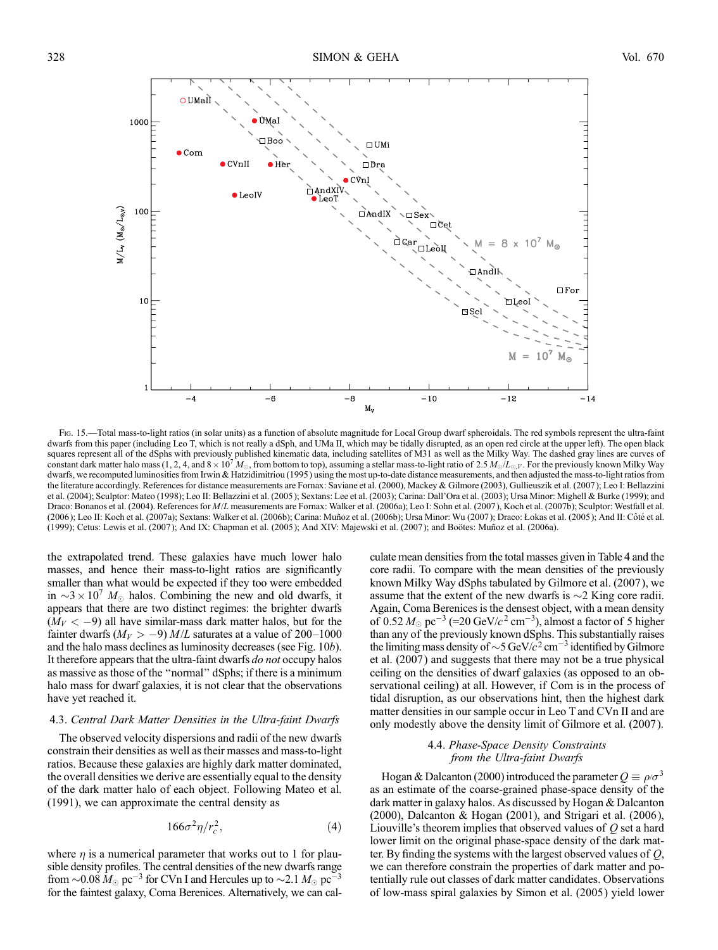

Fig. 15.—Total mass-to-light ratios (in solar units) as a function of absolute magnitude for Local Group dwarf spheroidals. The red symbols represent the ultra-faint dwarfs from this paper (including Leo T, which is not really a dSph, and UMa II, which may be tidally disrupted, as an open red circle at the upper left). The open black squares represent all of the dSphs with previously published kinematic data, including satellites of M31 as well as the Milky Way. The dashed gray lines are curves of constant dark matter halo mass (1, 2, 4, and  $8 \times 10^7 M_{\odot}$ , from bottom to top), assuming a stellar mass-to-light ratio of 2.5  $M_{\odot}/L_{\odot}$  . For the previously known Milky Way dwarfs, we recomputed luminosities from Irwin & Hatzidimitriou (1995 ) using the most up-to-date distance measurements, and then adjusted the mass-to-light ratios from the literature accordingly. References for distance measurements are Fornax: Saviane et al. (2000), Mackey & Gilmore (2003), Gullieuszik et al. (2007); Leo I: Bellazzini et al. (2004); Sculptor: Mateo (1998); Leo II: Bellazzini et al. (2005 ); Sextans: Lee et al. (2003); Carina: Dall'Ora et al. (2003); Ursa Minor: Mighell & Burke (1999); and Draco: Bonanos et al. (2004). References for M/L measurements are Fornax: Walker et al. (2006a); Leo I: Sohn et al. (2007), Koch et al. (2007b); Sculptor: Westfall et al. (2006); Leo II: Koch et al. (2007a); Sextans: Walker et al. (2006b); Carina: Muñoz et al. (2006b); Ursa Minor: Wu (2007); Draco: Łokas et al. (2005); And II: Côté et al. (1999); Cetus: Lewis et al. (2007); And IX: Chapman et al. (2005); And XIV: Majewski et al. (2007); and Boötes: Muñoz et al. (2006a).

the extrapolated trend. These galaxies have much lower halo masses, and hence their mass-to-light ratios are significantly smaller than what would be expected if they too were embedded in  $\sim$ 3 × 10<sup>7</sup>  $M_{\odot}$  halos. Combining the new and old dwarfs, it appears that there are two distinct regimes: the brighter dwarfs  $(M_V < -9)$  all have similar-mass dark matter halos, but for the fainter dwarfs  $(M_V > -9)$  M/L saturates at a value of 200-1000 and the halo mass declines as luminosity decreases (see Fig. 10b). It therefore appears that the ultra-faint dwarfs *do not* occupy halos as massive as those of the ''normal'' dSphs; if there is a minimum halo mass for dwarf galaxies, it is not clear that the observations have yet reached it.

## 4.3. Central Dark Matter Densities in the Ultra-faint Dwarfs

The observed velocity dispersions and radii of the new dwarfs constrain their densities as well as their masses and mass-to-light ratios. Because these galaxies are highly dark matter dominated, the overall densities we derive are essentially equal to the density of the dark matter halo of each object. Following Mateo et al. (1991), we can approximate the central density as

$$
166\sigma^2\eta/r_c^2,\tag{4}
$$

where  $\eta$  is a numerical parameter that works out to 1 for plausible density profiles. The central densities of the new dwarfs range from  $\sim$  0.08  $M_{\odot}$  pc<sup>-3</sup> for CVn I and Hercules up to  $\sim$  2.1  $M_{\odot}$  pc<sup>-3</sup> for the faintest galaxy, Coma Berenices. Alternatively, we can calculate mean densities from the total masses given in Table 4 and the core radii. To compare with the mean densities of the previously known Milky Way dSphs tabulated by Gilmore et al. (2007), we assume that the extent of the new dwarfs is  $\sim$ 2 King core radii. Again, Coma Berenices is the densest object, with a mean density of  $0.52\,M_\odot$  pc $^{-3}$  (=20 GeV/ $c^{2}$  cm $^{-3}$ ), almost a factor of 5 higher than any of the previously known dSphs. This substantially raises the limiting mass density of  $\sim$  5 GeV/ $c^2$  cm<sup>-3</sup> identified by Gilmore et al. (2007) and suggests that there may not be a true physical ceiling on the densities of dwarf galaxies (as opposed to an observational ceiling) at all. However, if Com is in the process of tidal disruption, as our observations hint, then the highest dark matter densities in our sample occur in Leo T and CVn II and are only modestly above the density limit of Gilmore et al. (2007 ).

# 4.4. Phase-Space Density Constraints from the Ultra-faint Dwarfs

Hogan & Dalcanton (2000) introduced the parameter  $Q \equiv \rho/\sigma^3$ as an estimate of the coarse-grained phase-space density of the dark matter in galaxy halos. As discussed by Hogan & Dalcanton (2000), Dalcanton & Hogan (2001), and Strigari et al. (2006), Liouville's theorem implies that observed values of  $Q$  set a hard lower limit on the original phase-space density of the dark matter. By finding the systems with the largest observed values of Q, we can therefore constrain the properties of dark matter and potentially rule out classes of dark matter candidates. Observations of low-mass spiral galaxies by Simon et al. (2005) yield lower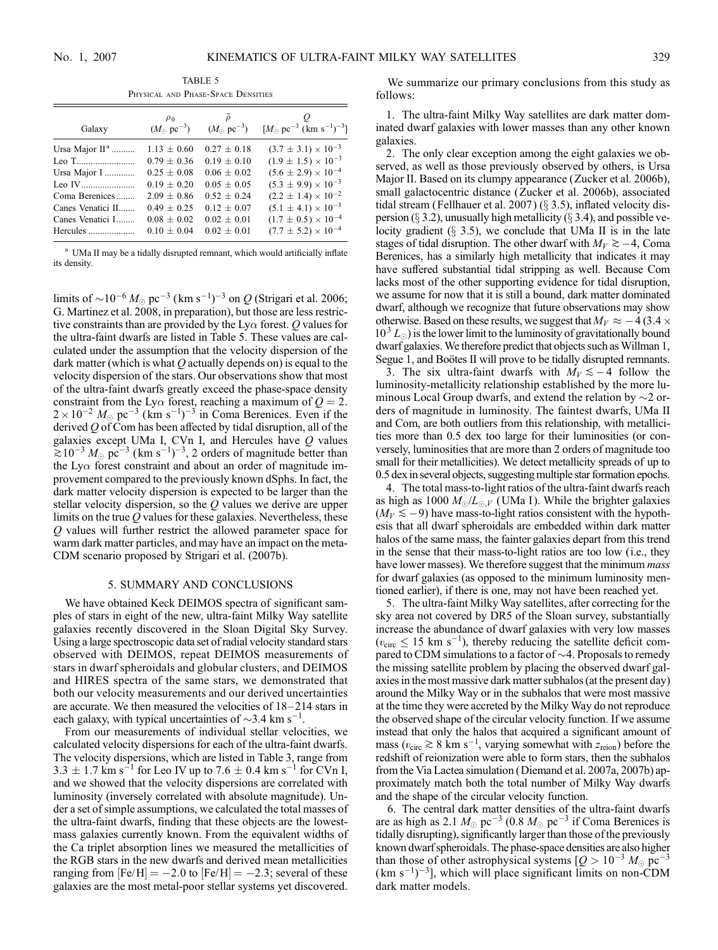TABLE 5 Physical and Phase-Space Densities

| Galaxy            | $\rho_0$<br>$(M_{\odot} \text{ pc}^{-3})$ | $\rho$<br>$(M_{\odot} \text{ pc}^{-3})$ | $[M_{\odot} \text{ pc}^{-3} \text{ (km s}^{-1})^{-3}]$ |
|-------------------|-------------------------------------------|-----------------------------------------|--------------------------------------------------------|
| Ursa Major $II^a$ | $1.13 + 0.60$                             | $0.27 + 0.18$                           | $(3.7 \pm 3.1) \times 10^{-3}$                         |
|                   | $0.79 + 0.36$                             | $0.19 + 0.10$                           | $(1.9 \pm 1.5) \times 10^{-3}$                         |
| Ursa Major I      | $0.25 + 0.08$                             | $0.06 + 0.02$                           | $(5.6 \pm 2.9) \times 10^{-4}$                         |
|                   | $0.19 + 0.20$                             | $0.05 + 0.05$                           | $(5.3 \pm 9.9) \times 10^{-3}$                         |
| Coma Berenices    | $2.09 + 0.86$                             | $0.52 + 0.24$                           | $(2.2 \pm 1.4) \times 10^{-2}$                         |
| Canes Venatici II | $0.49 \pm 0.25$                           | $0.12 + 0.07$                           | $(5.1 \pm 4.1) \times 10^{-3}$                         |
| Canes Venatici I  | $0.08 + 0.02$                             | $0.02 + 0.01$                           | $(1.7 \pm 0.5) \times 10^{-4}$                         |
| <b>Hercules</b>   | $0.10 + 0.04$                             | $0.02 + 0.01$                           | $(7.7 \pm 5.2) \times 10^{-4}$                         |

<sup>a</sup> UMa II may be a tidally disrupted remnant, which would artificially inflate its density.

limits of  $\sim$ 10<sup>-6</sup>  $M_{\odot}$  pc<sup>-3</sup> (km s<sup>-1</sup>)<sup>-3</sup> on  $Q$  (Strigari et al. 2006; G. Martinez et al. 2008, in preparation), but those are less restrictive constraints than are provided by the  $Ly\alpha$  forest. Q values for the ultra-faint dwarfs are listed in Table 5. These values are calculated under the assumption that the velocity dispersion of the dark matter (which is what  $Q$  actually depends on) is equal to the velocity dispersion of the stars. Our observations show that most of the ultra-faint dwarfs greatly exceed the phase-space density constraint from the Ly $\alpha$  forest, reaching a maximum of  $Q = 2$ .  $2 \times 10^{-2}$   $M_{\odot}$  pc<sup>-3</sup> (km s<sup>-1</sup>)<sup>-3</sup> in Coma Berenices. Even if the derived Q of Com has been affected by tidal disruption, all of the galaxies except UMa I, CVn I, and Hercules have  $Q$  values  $\geq 10^{-3}$   $M_{\odot}$  pc<sup>-3</sup> (km s<sup>-1</sup>)<sup>-3</sup>, 2 orders of magnitude better than the Ly $\alpha$  forest constraint and about an order of magnitude improvement compared to the previously known dSphs. In fact, the dark matter velocity dispersion is expected to be larger than the stellar velocity dispersion, so the  $Q$  values we derive are upper limits on the true  $Q$  values for these galaxies. Nevertheless, these Q values will further restrict the allowed parameter space for warm dark matter particles, and may have an impact on the meta-CDM scenario proposed by Strigari et al. (2007b).

#### 5. SUMMARY AND CONCLUSIONS

We have obtained Keck DEIMOS spectra of significant samples of stars in eight of the new, ultra-faint Milky Way satellite galaxies recently discovered in the Sloan Digital Sky Survey. Using a large spectroscopic data set of radial velocity standard stars observed with DEIMOS, repeat DEIMOS measurements of stars in dwarf spheroidals and globular clusters, and DEIMOS and HIRES spectra of the same stars, we demonstrated that both our velocity measurements and our derived uncertainties are accurate. We then measured the velocities of  $18-214$  stars in each galaxy, with typical uncertainties of  $\sim$ 3.4 km s<sup>-1</sup>.

From our measurements of individual stellar velocities, we calculated velocity dispersions for each of the ultra-faint dwarfs. The velocity dispersions, which are listed in Table 3, range from  $3.3 \pm 1.7$  km s<sup>-1</sup> for Leo IV up to  $7.6 \pm 0.4$  km s<sup>-1</sup> for CVn I, and we showed that the velocity dispersions are correlated with luminosity (inversely correlated with absolute magnitude). Under a set of simple assumptions, we calculated the total masses of the ultra-faint dwarfs, finding that these objects are the lowestmass galaxies currently known. From the equivalent widths of the Ca triplet absorption lines we measured the metallicities of the RGB stars in the new dwarfs and derived mean metallicities ranging from  $[Fe/H] = -2.0$  to  $[Fe/H] = -2.3$ ; several of these galaxies are the most metal-poor stellar systems yet discovered.

We summarize our primary conclusions from this study as follows:

1. The ultra-faint Milky Way satellites are dark matter dominated dwarf galaxies with lower masses than any other known galaxies.

2. The only clear exception among the eight galaxies we observed, as well as those previously observed by others, is Ursa Major II. Based on its clumpy appearance (Zucker et al. 2006b), small galactocentric distance (Zucker et al. 2006b), associated tidal stream (Fellhauer et al. 2007) ( $\S$  3.5), inflated velocity dispersion ( $\S$  3.2), unusually high metallicity ( $\S$  3.4), and possible velocity gradient  $(\S$  3.5), we conclude that UMa II is in the late stages of tidal disruption. The other dwarf with  $M_V \gtrsim -4$ , Coma Berenices, has a similarly high metallicity that indicates it may have suffered substantial tidal stripping as well. Because Com lacks most of the other supporting evidence for tidal disruption, we assume for now that it is still a bound, dark matter dominated dwarf, although we recognize that future observations may show otherwise. Based on these results, we suggest that  $M_V \approx -4(3.4 \times$  $10<sup>3</sup> L<sub>\odot</sub>$ ) is the lower limit to the luminosity of gravitationally bound dwarf galaxies. We therefore predict that objects such as Willman 1, Segue 1, and Boötes II will prove to be tidally disrupted remnants.

3. The six ultra-faint dwarfs with  $M_V \le -4$  follow the luminosity-metallicity relationship established by the more luminous Local Group dwarfs, and extend the relation by  $\sim$ 2 orders of magnitude in luminosity. The faintest dwarfs, UMa II and Com, are both outliers from this relationship, with metallicities more than 0.5 dex too large for their luminosities (or conversely, luminosities that are more than 2 orders of magnitude too small for their metallicities). We detect metallicity spreads of up to 0.5 dex in several objects, suggesting multiple star formation epochs.

4. The total mass-to-light ratios of the ultra-faint dwarfs reach as high as 1000  $M_{\odot}/L_{\odot}, V$  (UMa I). While the brighter galaxies  $(M_V \le -9)$  have mass-to-light ratios consistent with the hypothesis that all dwarf spheroidals are embedded within dark matter halos of the same mass, the fainter galaxies depart from this trend in the sense that their mass-to-light ratios are too low (i.e., they have lower masses). We therefore suggest that the minimum *mass* for dwarf galaxies (as opposed to the minimum luminosity mentioned earlier), if there is one, may not have been reached yet.

5. The ultra-faint Milky Way satellites, after correcting for the sky area not covered by DR5 of the Sloan survey, substantially increase the abundance of dwarf galaxies with very low masses  $(v_{\text{circ}} \leq 15 \text{ km s}^{-1})$ , thereby reducing the satellite deficit compared to CDM simulations to a factor of  $\sim$ 4. Proposals to remedy the missing satellite problem by placing the observed dwarf galaxies in the most massive dark matter subhalos (at the present day) around the Milky Way or in the subhalos that were most massive at the time they were accreted by the Milky Way do not reproduce the observed shape of the circular velocity function. If we assume instead that only the halos that acquired a significant amount of mass ( $v_{\rm circ} \gtrsim 8 \text{ km s}^{-1}$ , varying somewhat with  $z_{\rm reion}$ ) before the redshift of reionization were able to form stars, then the subhalos from the Via Lactea simulation (Diemand et al. 2007a, 2007b) approximately match both the total number of Milky Way dwarfs and the shape of the circular velocity function.

6. The central dark matter densities of the ultra-faint dwarfs are as high as 2.1  $M_{\odot}$  pc<sup>-3</sup> (0.8  $M_{\odot}$  pc<sup>-3</sup> if Coma Berenices is tidally disrupting), significantly larger than those of the previously known dwarf spheroidals. The phase-space densities are also higher than those of other astrophysical systems  $[Q > 10^{-3} M_{\odot} pc^{-3}$  $(km s^{-1})^{-3}$ ], which will place significant limits on non-CDM dark matter models.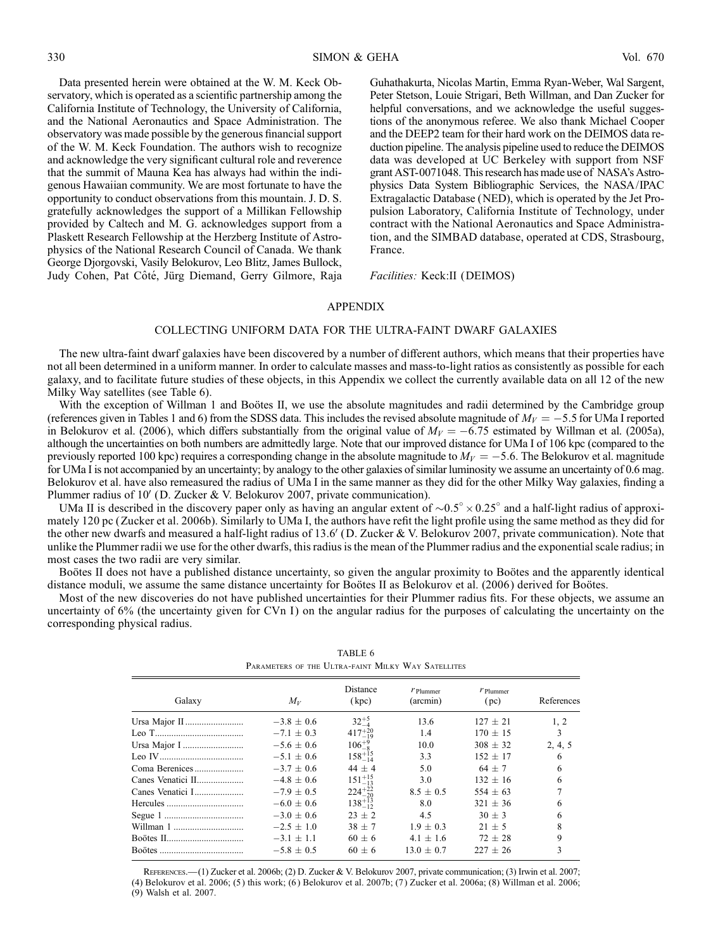Data presented herein were obtained at the W. M. Keck Observatory, which is operated as a scientific partnership among the California Institute of Technology, the University of California, and the National Aeronautics and Space Administration. The observatory was made possible by the generous financial support of the W. M. Keck Foundation. The authors wish to recognize and acknowledge the very significant cultural role and reverence that the summit of Mauna Kea has always had within the indigenous Hawaiian community. We are most fortunate to have the opportunity to conduct observations from this mountain. J. D. S. gratefully acknowledges the support of a Millikan Fellowship provided by Caltech and M. G. acknowledges support from a Plaskett Research Fellowship at the Herzberg Institute of Astrophysics of the National Research Council of Canada. We thank George Djorgovski, Vasily Belokurov, Leo Blitz, James Bullock, Judy Cohen, Pat Côté, Jürg Diemand, Gerry Gilmore, Raja

Guhathakurta, Nicolas Martin, Emma Ryan-Weber, Wal Sargent, Peter Stetson, Louie Strigari, Beth Willman, and Dan Zucker for helpful conversations, and we acknowledge the useful suggestions of the anonymous referee. We also thank Michael Cooper and the DEEP2 team for their hard work on the DEIMOS data reduction pipeline. The analysis pipeline used to reduce the DEIMOS data was developed at UC Berkeley with support from NSF grant AST-0071048. This research has made use of NASA's Astrophysics Data System Bibliographic Services, the NASA/IPAC Extragalactic Database (NED), which is operated by the Jet Propulsion Laboratory, California Institute of Technology, under contract with the National Aeronautics and Space Administration, and the SIMBAD database, operated at CDS, Strasbourg, France.

Facilities: Keck:II (DEIMOS)

## APPENDIX

# COLLECTING UNIFORM DATA FOR THE ULTRA-FAINT DWARF GALAXIES

The new ultra-faint dwarf galaxies have been discovered by a number of different authors, which means that their properties have not all been determined in a uniform manner. In order to calculate masses and mass-to-light ratios as consistently as possible for each galaxy, and to facilitate future studies of these objects, in this Appendix we collect the currently available data on all 12 of the new Milky Way satellites (see Table 6).

With the exception of Willman 1 and Boötes II, we use the absolute magnitudes and radii determined by the Cambridge group (references given in Tables 1 and 6) from the SDSS data. This includes the revised absolute magnitude of  $M_V = -5.5$  for UMa I reported in Belokurov et al. (2006), which differs substantially from the original value of  $M_V = -6.75$  estimated by Willman et al. (2005a), although the uncertainties on both numbers are admittedly large. Note that our improved distance for UMa I of 106 kpc (compared to the previously reported 100 kpc) requires a corresponding change in the absolute magnitude to  $M_V = -5.6$ . The Belokurov et al. magnitude for UMa I is not accompanied by an uncertainty; by analogy to the other galaxies of similar luminosity we assume an uncertainty of 0.6 mag. Belokurov et al. have also remeasured the radius of UMa I in the same manner as they did for the other Milky Way galaxies, finding a Plummer radius of  $10'$  (D. Zucker & V. Belokurov 2007, private communication).

UMa II is described in the discovery paper only as having an angular extent of  $\sim 0.5^\circ \times 0.25^\circ$  and a half-light radius of approximately 120 pc (Zucker et al. 2006b). Similarly to UMa I, the authors have refit the light profile using the same method as they did for the other new dwarfs and measured a half-light radius of 13.6' (D. Zucker & V. Belokurov 2007, private communication). Note that unlike the Plummer radii we use for the other dwarfs, this radius is the mean of the Plummer radius and the exponential scale radius; in most cases the two radii are very similar.

Bootes II does not have a published distance uncertainty, so given the angular proximity to Bootes and the apparently identical distance moduli, we assume the same distance uncertainty for Bootes II as Belokurov et al.  $(2006)$  derived for Bootes.

Most of the new discoveries do not have published uncertainties for their Plummer radius fits. For these objects, we assume an uncertainty of 6% (the uncertainty given for CVn I) on the angular radius for the purposes of calculating the uncertainty on the corresponding physical radius.

| PARAMETERS OF THE ULTRA-FAINT MILKY WAY SATELLITES |                |                   |                         |                     |            |  |
|----------------------------------------------------|----------------|-------------------|-------------------------|---------------------|------------|--|
| Galaxy                                             | $M_V$          | Distance<br>(kpc) | $r$ Plummer<br>(arcmin) | $r$ Plummer<br>(pc) | References |  |
| Ursa Major II                                      | $-3.8 \pm 0.6$ | $32^{+5}_{-4}$    | 13.6                    | $127 \pm 21$        | 1, 2       |  |
|                                                    | $-7.1 \pm 0.3$ | $417^{+20}_{-19}$ | 1.4                     | $170 \pm 15$        | 3          |  |
|                                                    | $-5.6 \pm 0.6$ | $106^{+9}_{-8}$   | 10.0                    | $308 \pm 32$        | 2, 4, 5    |  |
|                                                    | $-5.1 + 0.6$   | $158^{+15}_{-14}$ | 3.3                     | $152 + 17$          | 6          |  |
| Coma Berenices                                     | $-3.7 + 0.6$   | $44 \pm 4$        | 5.0                     | $64 + 7$            | 6          |  |
| Canes Venatici II                                  | $-4.8 + 0.6$   | $151^{+15}_{-13}$ | 3.0                     | $132 \pm 16$        | 6          |  |
| Canes Venatici I                                   | $-7.9 \pm 0.5$ | $224^{+22}_{-20}$ | $8.5 \pm 0.5$           | $554 \pm 63$        |            |  |
|                                                    | $-6.0 + 0.6$   | $138^{+13}_{-12}$ | 8.0                     | $321 \pm 36$        | 6          |  |
|                                                    | $-3.0 \pm 0.6$ | $23 + 2$          | 4.5                     | $30 + 3$            |            |  |
| Willman 1                                          | $-2.5 + 1.0$   | $38 + 7$          | $1.9 + 0.3$             | $21 + 5$            |            |  |
|                                                    | $-3.1 \pm 1.1$ | $60 + 6$          | $4.1 + 1.6$             | $72 \pm 28$         | 9          |  |
|                                                    | $-5.8 + 0.5$   | $60 \pm 6$        | $13.0 + 0.7$            | $227 + 26$          | 3          |  |

References.—(1) Zucker et al. 2006b; (2) D. Zucker & V. Belokurov 2007, private communication; (3) Irwin et al. 2007; (4) Belokurov et al. 2006; (5 ) this work; (6 ) Belokurov et al. 2007b; (7 ) Zucker et al. 2006a; (8) Willman et al. 2006; (9) Walsh et al. 2007.

# TABLE 6 Parameters of the Ultra-faint Milky Way Satellites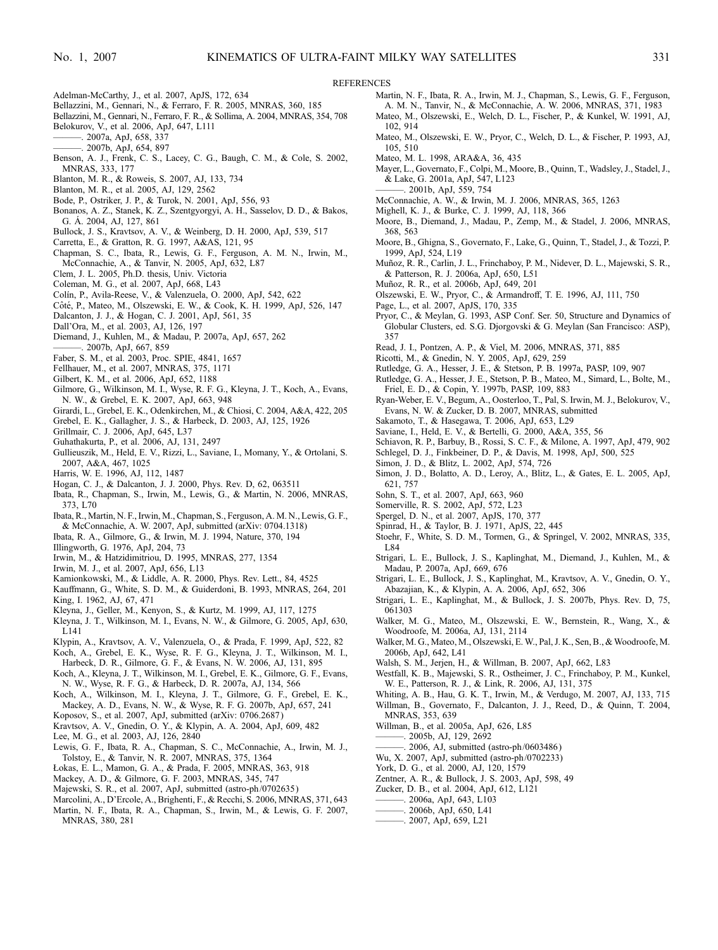#### **REFERENCES**

- Adelman-McCarthy, J., et al. 2007, ApJS, 172, 634
- Bellazzini, M., Gennari, N., & Ferraro, F. R. 2005, MNRAS, 360, 185
- Bellazzini, M., Gennari, N., Ferraro, F. R., & Sollima, A. 2004, MNRAS, 354, 708
- Belokurov, V., et al. 2006, ApJ, 647, L111
	- $-$ . 2007a, ApJ, 658, 337
		- ———. 2007b, ApJ, 654, 897
- Benson, A. J., Frenk, C. S., Lacey, C. G., Baugh, C. M., & Cole, S. 2002, MNRAS, 333, 177
- Blanton, M. R., & Roweis, S. 2007, AJ, 133, 734
- Blanton, M. R., et al. 2005, AJ, 129, 2562
- Bode, P., Ostriker, J. P., & Turok, N. 2001, ApJ, 556, 93
- Bonanos, A. Z., Stanek, K. Z., Szentgyorgyi, A. H., Sasselov, D. D., & Bakos, G. Á. 2004, AJ, 127, 861
- Bullock, J. S., Kravtsov, A. V., & Weinberg, D. H. 2000, ApJ, 539, 517
- Carretta, E., & Gratton, R. G. 1997, A&AS, 121, 95
- Chapman, S. C., Ibata, R., Lewis, G. F., Ferguson, A. M. N., Irwin, M., McConnachie, A., & Tanvir, N. 2005, ApJ, 632, L87
- Clem, J. L. 2005, Ph.D. thesis, Univ. Victoria
- Coleman, M. G., et al. 2007, ApJ, 668, L43
- Colín, P., Avila-Reese, V., & Valenzuela, O. 2000, ApJ, 542, 622
- Côté, P., Mateo, M., Olszewski, E. W., & Cook, K. H. 1999, ApJ, 526, 147
- Dalcanton, J. J., & Hogan, C. J. 2001, ApJ, 561, 35
- Dall'Ora, M., et al. 2003, AJ, 126, 197
- Diemand, J., Kuhlen, M., & Madau, P. 2007a, ApJ, 657, 262
- 2007b, ApJ, 667, 859
- Faber, S. M., et al. 2003, Proc. SPIE, 4841, 1657
- Fellhauer, M., et al. 2007, MNRAS, 375, 1171
- Gilbert, K. M., et al. 2006, ApJ, 652, 1188
- Gilmore, G., Wilkinson, M. I., Wyse, R. F. G., Kleyna, J. T., Koch, A., Evans, N. W., & Grebel, E. K. 2007, ApJ, 663, 948
- Girardi, L., Grebel, E. K., Odenkirchen, M., & Chiosi, C. 2004, A&A, 422, 205
- Grebel, E. K., Gallagher, J. S., & Harbeck, D. 2003, AJ, 125, 1926
- Grillmair, C. J. 2006, ApJ, 645, L37
- Guhathakurta, P., et al. 2006, AJ, 131, 2497
- Gullieuszik, M., Held, E. V., Rizzi, L., Saviane, I., Momany, Y., & Ortolani, S. 2007, A&A, 467, 1025
- Harris, W. E. 1996, AJ, 112, 1487
- Hogan, C. J., & Dalcanton, J. J. 2000, Phys. Rev. D, 62, 063511
- Ibata, R., Chapman, S., Irwin, M., Lewis, G., & Martin, N. 2006, MNRAS, 373, L70
- Ibata, R., Martin, N. F., Irwin, M., Chapman, S., Ferguson, A. M. N., Lewis, G. F., & McConnachie, A. W. 2007, ApJ, submitted (arXiv: 0704.1318)
- Ibata, R. A., Gilmore, G., & Irwin, M. J. 1994, Nature, 370, 194
- Illingworth, G. 1976, ApJ, 204, 73
- Irwin, M., & Hatzidimitriou, D. 1995, MNRAS, 277, 1354
- Irwin, M. J., et al. 2007, ApJ, 656, L13

## Kamionkowski, M., & Liddle, A. R. 2000, Phys. Rev. Lett., 84, 4525

- Kauffmann, G., White, S. D. M., & Guiderdoni, B. 1993, MNRAS, 264, 201 King, I. 1962, AJ, 67, 471
- Kleyna, J., Geller, M., Kenyon, S., & Kurtz, M. 1999, AJ, 117, 1275
- Kleyna, J. T., Wilkinson, M. I., Evans, N. W., & Gilmore, G. 2005, ApJ, 630, L141
- Klypin, A., Kravtsov, A. V., Valenzuela, O., & Prada, F. 1999, ApJ, 522, 82
- Koch, A., Grebel, E. K., Wyse, R. F. G., Kleyna, J. T., Wilkinson, M. I., Harbeck, D. R., Gilmore, G. F., & Evans, N. W. 2006, AJ, 131, 895
- Koch, A., Kleyna, J. T., Wilkinson, M. I., Grebel, E. K., Gilmore, G. F., Evans,
- N. W., Wyse, R. F. G., & Harbeck, D. R. 2007a, AJ, 134, 566 Koch, A., Wilkinson, M. I., Kleyna, J. T., Gilmore, G. F., Grebel, E. K.,
- Mackey, A. D., Evans, N. W., & Wyse, R. F. G. 2007b, ApJ, 657, 241 Koposov, S., et al. 2007, ApJ, submitted (arXiv: 0706.2687 )
- Kravtsov, A. V., Gnedin, O. Y., & Klypin, A. A. 2004, ApJ, 609, 482
- Lee, M. G., et al. 2003, AJ, 126, 2840
- Lewis, G. F., Ibata, R. A., Chapman, S. C., McConnachie, A., Irwin, M. J., Tolstoy, E., & Tanvir, N. R. 2007, MNRAS, 375, 1364
- xokas, E. L., Mamon, G. A., & Prada, F. 2005, MNRAS, 363, 918
- Mackey, A. D., & Gilmore, G. F. 2003, MNRAS, 345, 747
- Majewski, S. R., et al. 2007, ApJ, submitted (astro-ph/0702635 )
- Marcolini, A., D'Ercole, A., Brighenti, F., & Recchi, S. 2006, MNRAS, 371, 643
- Martin, N. F., Ibata, R. A., Chapman, S., Irwin, M., & Lewis, G. F. 2007, MNRAS, 380, 281
- Martin, N. F., Ibata, R. A., Irwin, M. J., Chapman, S., Lewis, G. F., Ferguson,
- A. M. N., Tanvir, N., & McConnachie, A. W. 2006, MNRAS, 371, 1983 Mateo, M., Olszewski, E., Welch, D. L., Fischer, P., & Kunkel, W. 1991, AJ,
- 102, 914
- Mateo, M., Olszewski, E. W., Pryor, C., Welch, D. L., & Fischer, P. 1993, AJ, 105, 510
- Mateo, M. L. 1998, ARA&A, 36, 435
- Mayer, L., Governato, F., Colpi, M., Moore, B., Quinn, T., Wadsley, J., Stadel, J., & Lake, G. 2001a, ApJ, 547, L123
- $-$ . 2001b, ApJ, 559, 754
- McConnachie, A. W., & Irwin, M. J. 2006, MNRAS, 365, 1263
- Mighell, K. J., & Burke, C. J. 1999, AJ, 118, 366
- Moore, B., Diemand, J., Madau, P., Zemp, M., & Stadel, J. 2006, MNRAS, 368, 563
- Moore, B., Ghigna, S., Governato, F., Lake, G., Quinn, T., Stadel, J., & Tozzi, P. 1999, ApJ, 524, L19
- Muñoz, R. R., Carlin, J. L., Frinchaboy, P. M., Nidever, D. L., Majewski, S. R., & Patterson, R. J. 2006a, ApJ, 650, L51
- Muñoz, R. R., et al. 2006b, ApJ, 649, 201
- Olszewski, E. W., Pryor, C., & Armandroff, T. E. 1996, AJ, 111, 750
- Page, L., et al. 2007, ApJS, 170, 335
- Pryor, C., & Meylan, G. 1993, ASP Conf. Ser. 50, Structure and Dynamics of Globular Clusters, ed. S.G. Djorgovski & G. Meylan (San Francisco: ASP), 357
- Read, J. I., Pontzen, A. P., & Viel, M. 2006, MNRAS, 371, 885
- Ricotti, M., & Gnedin, N. Y. 2005, ApJ, 629, 259
- Rutledge, G. A., Hesser, J. E., & Stetson, P. B. 1997a, PASP, 109, 907
- Rutledge, G. A., Hesser, J. E., Stetson, P. B., Mateo, M., Simard, L., Bolte, M., Friel, E. D., & Copin, Y. 1997b, PASP, 109, 883
- Ryan-Weber, E. V., Begum, A., Oosterloo, T., Pal, S. Irwin, M. J., Belokurov, V., Evans, N. W. & Zucker, D. B. 2007, MNRAS, submitted
- Sakamoto, T., & Hasegawa, T. 2006, ApJ, 653, L29
- Saviane, I., Held, E. V., & Bertelli, G. 2000, A&A, 355, 56
- Schiavon, R. P., Barbuy, B., Rossi, S. C. F., & Milone, A. 1997, ApJ, 479, 902
- Schlegel, D. J., Finkbeiner, D. P., & Davis, M. 1998, ApJ, 500, 525
- Simon, J. D., & Blitz, L. 2002, ApJ, 574, 726
- Simon, J. D., Bolatto, A. D., Leroy, A., Blitz, L., & Gates, E. L. 2005, ApJ, 621, 757
- Sohn, S. T., et al. 2007, ApJ, 663, 960
- Somerville, R. S. 2002, ApJ, 572, L23

MNRAS, 353, 639

Willman, B., et al. 2005a, ApJ, 626, L85 ———. 2005b, AJ, 129, 2692

- Spergel, D. N., et al. 2007, ApJS, 170, 377
- Spinrad, H., & Taylor, B. J. 1971, ApJS, 22, 445
- Stoehr, F., White, S. D. M., Tormen, G., & Springel, V. 2002, MNRAS, 335, L84
- Strigari, L. E., Bullock, J. S., Kaplinghat, M., Diemand, J., Kuhlen, M., & Madau, P. 2007a, ApJ, 669, 676
- Strigari, L. E., Bullock, J. S., Kaplinghat, M., Kravtsov, A. V., Gnedin, O. Y., Abazajian, K., & Klypin, A. A. 2006, ApJ, 652, 306
- Strigari, L. E., Kaplinghat, M., & Bullock, J. S. 2007b, Phys. Rev. D, 75, 061303
- Walker, M. G., Mateo, M., Olszewski, E. W., Bernstein, R., Wang, X., & Woodroofe, M. 2006a, AJ, 131, 2114
- Walker, M. G., Mateo, M., Olszewski, E. W., Pal, J. K., Sen, B., & Woodroofe, M. 2006b, ApJ, 642, L41
- Walsh, S. M., Jerjen, H., & Willman, B. 2007, ApJ, 662, L83

2006, AJ, submitted (astro-ph/0603486) Wu, X. 2007, ApJ, submitted (astro-ph/0702233) York, D. G., et al. 2000, AJ, 120, 1579

Zentner, A. R., & Bullock, J. S. 2003, ApJ, 598, 49 Zucker, D. B., et al. 2004, ApJ, 612, L121 ———. 2006a, ApJ, 643, L103 ———. 2006b, ApJ, 650, L41 ———. 2007, ApJ, 659, L21

- Westfall, K. B., Majewski, S. R., Ostheimer, J. C., Frinchaboy, P. M., Kunkel, W. E., Patterson, R. J., & Link, R. 2006, AJ, 131, 375
- Whiting, A. B., Hau, G. K. T., Irwin, M., & Verdugo, M. 2007, AJ, 133, 715 Willman, B., Governato, F., Dalcanton, J. J., Reed, D., & Quinn, T. 2004,